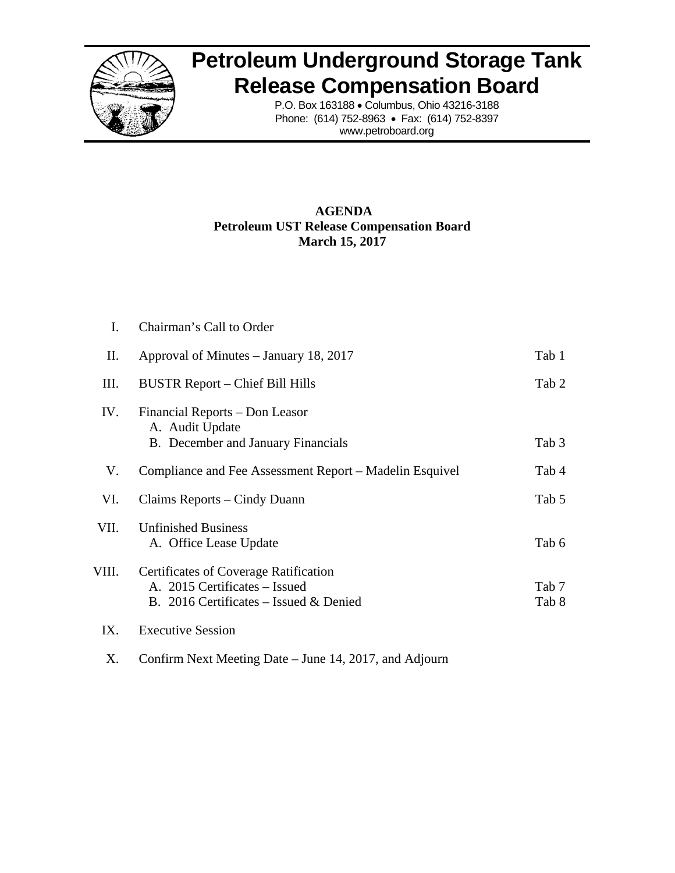

## **Petroleum Underground Storage Tank Release Compensation Board**

P.O. Box 163188 • Columbus, Ohio 43216-3188 Phone: (614) 752-8963 • Fax: (614) 752-8397 www.petroboard.org

## **AGENDA Petroleum UST Release Compensation Board March 15, 2017**

| I.    | Chairman's Call to Order                                                                                                |                |
|-------|-------------------------------------------------------------------------------------------------------------------------|----------------|
| П.    | Approval of Minutes – January 18, 2017                                                                                  | Tab 1          |
| Ш.    | BUSTR Report – Chief Bill Hills                                                                                         | Tab 2          |
| IV.   | Financial Reports - Don Leasor<br>A. Audit Update<br>B. December and January Financials                                 | Tab 3          |
| V.    | Compliance and Fee Assessment Report – Madelin Esquivel                                                                 | Tab 4          |
| VI.   | Claims Reports – Cindy Duann                                                                                            | Tab 5          |
| VII.  | <b>Unfinished Business</b><br>A. Office Lease Update                                                                    | Tab 6          |
| VIII. | <b>Certificates of Coverage Ratification</b><br>A. 2015 Certificates – Issued<br>B. 2016 Certificates – Issued & Denied | Tab 7<br>Tab 8 |
| IX.   | <b>Executive Session</b>                                                                                                |                |

X. Confirm Next Meeting Date – June 14, 2017, and Adjourn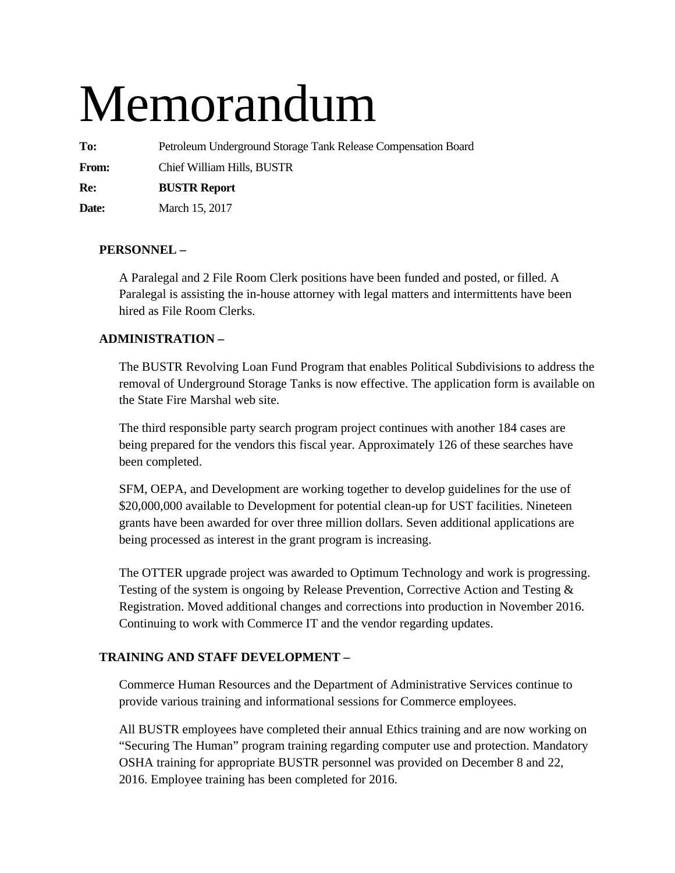# Memorandum

**To:** Petroleum Underground Storage Tank Release Compensation Board

**From:** Chief William Hills, BUSTR

**Re: BUSTR Report** 

**Date:** March 15, 2017

## **PERSONNEL –**

A Paralegal and 2 File Room Clerk positions have been funded and posted, or filled. A Paralegal is assisting the in-house attorney with legal matters and intermittents have been hired as File Room Clerks.

## **ADMINISTRATION –**

The BUSTR Revolving Loan Fund Program that enables Political Subdivisions to address the removal of Underground Storage Tanks is now effective. The application form is available on the State Fire Marshal web site.

The third responsible party search program project continues with another 184 cases are being prepared for the vendors this fiscal year. Approximately 126 of these searches have been completed.

SFM, OEPA, and Development are working together to develop guidelines for the use of \$20,000,000 available to Development for potential clean-up for UST facilities. Nineteen grants have been awarded for over three million dollars. Seven additional applications are being processed as interest in the grant program is increasing.

The OTTER upgrade project was awarded to Optimum Technology and work is progressing. Testing of the system is ongoing by Release Prevention, Corrective Action and Testing & Registration. Moved additional changes and corrections into production in November 2016. Continuing to work with Commerce IT and the vendor regarding updates.

## **TRAINING AND STAFF DEVELOPMENT –**

Commerce Human Resources and the Department of Administrative Services continue to provide various training and informational sessions for Commerce employees.

All BUSTR employees have completed their annual Ethics training and are now working on "Securing The Human" program training regarding computer use and protection. Mandatory OSHA training for appropriate BUSTR personnel was provided on December 8 and 22, 2016. Employee training has been completed for 2016.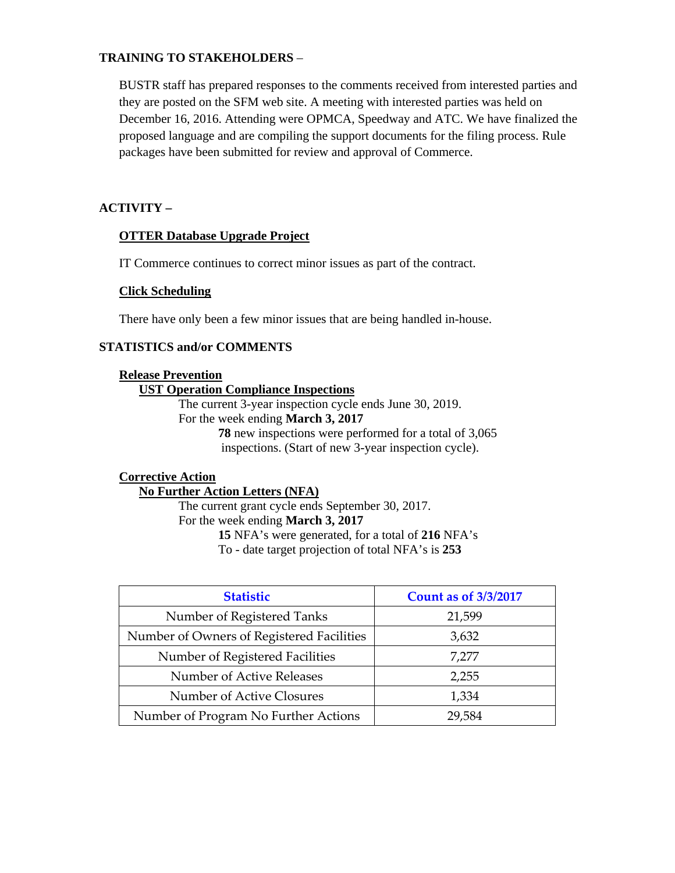## **TRAINING TO STAKEHOLDERS** –

BUSTR staff has prepared responses to the comments received from interested parties and they are posted on the SFM web site. A meeting with interested parties was held on December 16, 2016. Attending were OPMCA, Speedway and ATC. We have finalized the proposed language and are compiling the support documents for the filing process. Rule packages have been submitted for review and approval of Commerce.

## **ACTIVITY –**

## **OTTER Database Upgrade Project**

IT Commerce continues to correct minor issues as part of the contract.

## **Click Scheduling**

There have only been a few minor issues that are being handled in-house.

## **STATISTICS and/or COMMENTS**

#### **Release Prevention**

## **UST Operation Compliance Inspections**

The current 3-year inspection cycle ends June 30, 2019. For the week ending **March 3, 2017 78** new inspections were performed for a total of 3,065 inspections. (Start of new 3-year inspection cycle).

## **Corrective Action**

## **No Further Action Letters (NFA)**

The current grant cycle ends September 30, 2017. For the week ending **March 3, 2017 15** NFA's were generated, for a total of **216** NFA's To - date target projection of total NFA's is **253** 

| <b>Statistic</b>                          | <b>Count as of 3/3/2017</b> |
|-------------------------------------------|-----------------------------|
| Number of Registered Tanks                | 21,599                      |
| Number of Owners of Registered Facilities | 3,632                       |
| Number of Registered Facilities           | 7,277                       |
| Number of Active Releases                 | 2,255                       |
| Number of Active Closures                 | 1,334                       |
| Number of Program No Further Actions      | 29,584                      |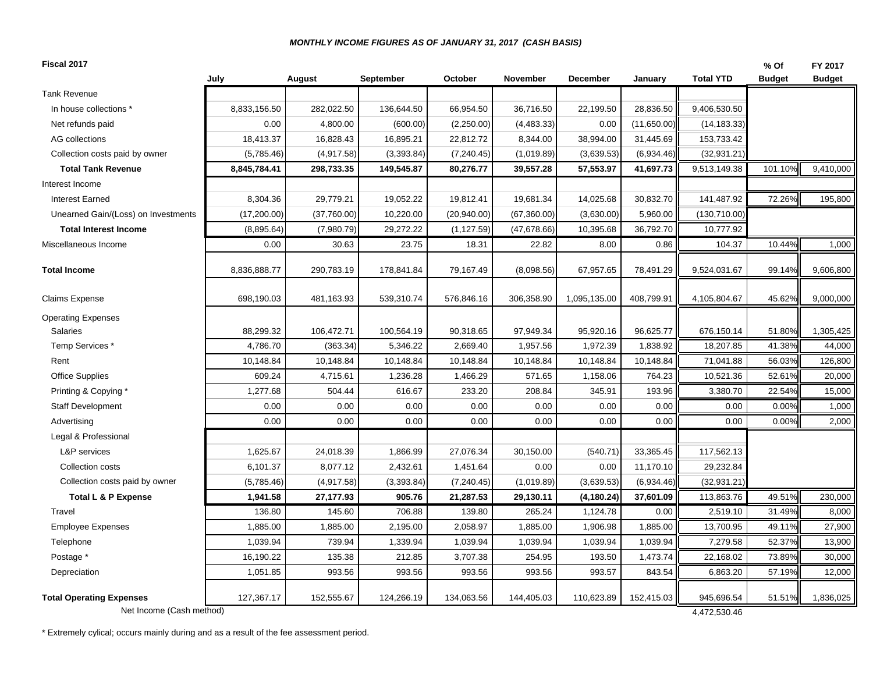#### *MONTHLY INCOME FIGURES AS OF JANUARY 31, 2017 (CASH BASIS)*

| August<br>July<br><b>September</b><br>October<br><b>Tank Revenue</b><br>8,833,156.50<br>282,022.50<br>66,954.50<br>In house collections *<br>136,644.50<br>0.00<br>4,800.00<br>(2,250.00)<br>Net refunds paid<br>(600.00)<br>AG collections<br>18,413.37<br>16,828.43<br>16,895.21<br>22,812.72<br>Collection costs paid by owner<br>(5,785.46)<br>(4,917.58)<br>(3,393.84)<br>(7, 240.45)<br>298,733.35<br><b>Total Tank Revenue</b><br>8,845,784.41<br>149,545.87<br>80,276.77<br>Interest Income<br>8,304.36<br>29,779.21<br>19,052.22<br><b>Interest Earned</b><br>19,812.41<br>(17, 200.00)<br>(37,760.00)<br>10,220.00<br>(20,940.00)<br>Unearned Gain/(Loss) on Investments<br>(8,895.64)<br>(7,980.79)<br>29,272.22<br>(1, 127.59)<br><b>Total Interest Income</b><br>0.00<br>30.63<br>23.75<br>18.31<br>Miscellaneous Income<br><b>Total Income</b><br>8,836,888.77<br>290,783.19<br>178,841.84<br>79,167.49<br>Claims Expense<br>698,190.03<br>539,310.74<br>576,846.16<br>481,163.93<br><b>Operating Expenses</b><br>Salaries<br>88,299.32<br>106,472.71<br>100,564.19<br>90,318.65<br>4,786.70<br>5,346.22<br>2,669.40<br>Temp Services *<br>(363.34)<br>10,148.84<br>10,148.84<br>10,148.84<br>10,148.84<br>Rent<br><b>Office Supplies</b><br>609.24<br>4,715.61<br>1,236.28<br>1,466.29<br>1,277.68<br>504.44<br>616.67<br>233.20<br>Printing & Copying *<br>0.00<br><b>Staff Development</b><br>0.00<br>0.00<br>0.00<br>0.00<br>Advertising<br>0.00<br>0.00<br>0.00<br>Legal & Professional<br><b>L&amp;P</b> services<br>1,625.67<br>1,866.99<br>27,076.34<br>24,018.39<br>6,101.37<br>8,077.12<br>2,432.61<br>Collection costs<br>1,451.64<br>Collection costs paid by owner<br>(5,785.46)<br>(4,917.58)<br>(3,393.84)<br>(7, 240.45)<br>905.76<br><b>Total L &amp; P Expense</b><br>1,941.58<br>27,177.93<br>21,287.53<br>Travel<br>136.80<br>145.60<br>706.88<br>139.80<br>1,885.00<br>1,885.00<br>2,195.00<br>2,058.97<br><b>Employee Expenses</b><br>1,039.94<br>739.94<br>1,339.94<br>1,039.94<br>Telephone |                            |             |                            | % Of          | FY 2017       |
|-----------------------------------------------------------------------------------------------------------------------------------------------------------------------------------------------------------------------------------------------------------------------------------------------------------------------------------------------------------------------------------------------------------------------------------------------------------------------------------------------------------------------------------------------------------------------------------------------------------------------------------------------------------------------------------------------------------------------------------------------------------------------------------------------------------------------------------------------------------------------------------------------------------------------------------------------------------------------------------------------------------------------------------------------------------------------------------------------------------------------------------------------------------------------------------------------------------------------------------------------------------------------------------------------------------------------------------------------------------------------------------------------------------------------------------------------------------------------------------------------------------------------------------------------------------------------------------------------------------------------------------------------------------------------------------------------------------------------------------------------------------------------------------------------------------------------------------------------------------------------------------------------------------------------------------------------------------------------------------------------------------------------------------|----------------------------|-------------|----------------------------|---------------|---------------|
|                                                                                                                                                                                                                                                                                                                                                                                                                                                                                                                                                                                                                                                                                                                                                                                                                                                                                                                                                                                                                                                                                                                                                                                                                                                                                                                                                                                                                                                                                                                                                                                                                                                                                                                                                                                                                                                                                                                                                                                                                                   | November<br>December       | January     | <b>Total YTD</b>           | <b>Budget</b> | <b>Budget</b> |
|                                                                                                                                                                                                                                                                                                                                                                                                                                                                                                                                                                                                                                                                                                                                                                                                                                                                                                                                                                                                                                                                                                                                                                                                                                                                                                                                                                                                                                                                                                                                                                                                                                                                                                                                                                                                                                                                                                                                                                                                                                   |                            |             |                            |               |               |
|                                                                                                                                                                                                                                                                                                                                                                                                                                                                                                                                                                                                                                                                                                                                                                                                                                                                                                                                                                                                                                                                                                                                                                                                                                                                                                                                                                                                                                                                                                                                                                                                                                                                                                                                                                                                                                                                                                                                                                                                                                   | 36,716.50<br>22,199.50     | 28,836.50   | 9,406,530.50               |               |               |
|                                                                                                                                                                                                                                                                                                                                                                                                                                                                                                                                                                                                                                                                                                                                                                                                                                                                                                                                                                                                                                                                                                                                                                                                                                                                                                                                                                                                                                                                                                                                                                                                                                                                                                                                                                                                                                                                                                                                                                                                                                   | (4,483.33)<br>0.00         | (11,650.00) | (14, 183.33)               |               |               |
|                                                                                                                                                                                                                                                                                                                                                                                                                                                                                                                                                                                                                                                                                                                                                                                                                                                                                                                                                                                                                                                                                                                                                                                                                                                                                                                                                                                                                                                                                                                                                                                                                                                                                                                                                                                                                                                                                                                                                                                                                                   | 8,344.00<br>38,994.00      | 31,445.69   | 153,733.42                 |               |               |
|                                                                                                                                                                                                                                                                                                                                                                                                                                                                                                                                                                                                                                                                                                                                                                                                                                                                                                                                                                                                                                                                                                                                                                                                                                                                                                                                                                                                                                                                                                                                                                                                                                                                                                                                                                                                                                                                                                                                                                                                                                   | (1,019.89)<br>(3,639.53)   | (6,934.46)  | (32, 931.21)               |               |               |
|                                                                                                                                                                                                                                                                                                                                                                                                                                                                                                                                                                                                                                                                                                                                                                                                                                                                                                                                                                                                                                                                                                                                                                                                                                                                                                                                                                                                                                                                                                                                                                                                                                                                                                                                                                                                                                                                                                                                                                                                                                   | 39,557.28<br>57,553.97     | 41,697.73   | 9,513,149.38               | 101.10%       | 9,410,000     |
|                                                                                                                                                                                                                                                                                                                                                                                                                                                                                                                                                                                                                                                                                                                                                                                                                                                                                                                                                                                                                                                                                                                                                                                                                                                                                                                                                                                                                                                                                                                                                                                                                                                                                                                                                                                                                                                                                                                                                                                                                                   |                            |             |                            |               |               |
|                                                                                                                                                                                                                                                                                                                                                                                                                                                                                                                                                                                                                                                                                                                                                                                                                                                                                                                                                                                                                                                                                                                                                                                                                                                                                                                                                                                                                                                                                                                                                                                                                                                                                                                                                                                                                                                                                                                                                                                                                                   | 14,025.68<br>19,681.34     | 30,832.70   | 141,487.92                 | 72.26%        | 195,800       |
|                                                                                                                                                                                                                                                                                                                                                                                                                                                                                                                                                                                                                                                                                                                                                                                                                                                                                                                                                                                                                                                                                                                                                                                                                                                                                                                                                                                                                                                                                                                                                                                                                                                                                                                                                                                                                                                                                                                                                                                                                                   | (67,360.00)<br>(3,630.00)  | 5,960.00    | (130, 710.00)              |               |               |
|                                                                                                                                                                                                                                                                                                                                                                                                                                                                                                                                                                                                                                                                                                                                                                                                                                                                                                                                                                                                                                                                                                                                                                                                                                                                                                                                                                                                                                                                                                                                                                                                                                                                                                                                                                                                                                                                                                                                                                                                                                   | (47, 678.66)<br>10,395.68  | 36,792.70   | 10,777.92                  |               |               |
|                                                                                                                                                                                                                                                                                                                                                                                                                                                                                                                                                                                                                                                                                                                                                                                                                                                                                                                                                                                                                                                                                                                                                                                                                                                                                                                                                                                                                                                                                                                                                                                                                                                                                                                                                                                                                                                                                                                                                                                                                                   | 22.82<br>8.00              | 0.86        | 104.37                     | 10.44%        | 1,000         |
|                                                                                                                                                                                                                                                                                                                                                                                                                                                                                                                                                                                                                                                                                                                                                                                                                                                                                                                                                                                                                                                                                                                                                                                                                                                                                                                                                                                                                                                                                                                                                                                                                                                                                                                                                                                                                                                                                                                                                                                                                                   | (8,098.56)<br>67,957.65    | 78,491.29   | 9,524,031.67               | 99.14%        | 9,606,800     |
|                                                                                                                                                                                                                                                                                                                                                                                                                                                                                                                                                                                                                                                                                                                                                                                                                                                                                                                                                                                                                                                                                                                                                                                                                                                                                                                                                                                                                                                                                                                                                                                                                                                                                                                                                                                                                                                                                                                                                                                                                                   | 306,358.90<br>1,095,135.00 | 408,799.91  | 4,105,804.67               | 45.62%        | 9,000,000     |
|                                                                                                                                                                                                                                                                                                                                                                                                                                                                                                                                                                                                                                                                                                                                                                                                                                                                                                                                                                                                                                                                                                                                                                                                                                                                                                                                                                                                                                                                                                                                                                                                                                                                                                                                                                                                                                                                                                                                                                                                                                   |                            |             |                            |               |               |
|                                                                                                                                                                                                                                                                                                                                                                                                                                                                                                                                                                                                                                                                                                                                                                                                                                                                                                                                                                                                                                                                                                                                                                                                                                                                                                                                                                                                                                                                                                                                                                                                                                                                                                                                                                                                                                                                                                                                                                                                                                   | 97,949.34<br>95,920.16     | 96,625.77   | 676,150.14                 | 51.80%        | 1,305,425     |
|                                                                                                                                                                                                                                                                                                                                                                                                                                                                                                                                                                                                                                                                                                                                                                                                                                                                                                                                                                                                                                                                                                                                                                                                                                                                                                                                                                                                                                                                                                                                                                                                                                                                                                                                                                                                                                                                                                                                                                                                                                   | 1,957.56<br>1,972.39       | 1,838.92    | 18,207.85                  | 41.38%        | 44,000        |
|                                                                                                                                                                                                                                                                                                                                                                                                                                                                                                                                                                                                                                                                                                                                                                                                                                                                                                                                                                                                                                                                                                                                                                                                                                                                                                                                                                                                                                                                                                                                                                                                                                                                                                                                                                                                                                                                                                                                                                                                                                   | 10,148.84<br>10,148.84     | 10,148.84   | 71,041.88                  | 56.03%        | 126,800       |
|                                                                                                                                                                                                                                                                                                                                                                                                                                                                                                                                                                                                                                                                                                                                                                                                                                                                                                                                                                                                                                                                                                                                                                                                                                                                                                                                                                                                                                                                                                                                                                                                                                                                                                                                                                                                                                                                                                                                                                                                                                   | 571.65<br>1,158.06         | 764.23      | 10,521.36                  | 52.61%        | 20,000        |
|                                                                                                                                                                                                                                                                                                                                                                                                                                                                                                                                                                                                                                                                                                                                                                                                                                                                                                                                                                                                                                                                                                                                                                                                                                                                                                                                                                                                                                                                                                                                                                                                                                                                                                                                                                                                                                                                                                                                                                                                                                   | 208.84<br>345.91           | 193.96      | 3,380.70                   | 22.54%        | 15,000        |
|                                                                                                                                                                                                                                                                                                                                                                                                                                                                                                                                                                                                                                                                                                                                                                                                                                                                                                                                                                                                                                                                                                                                                                                                                                                                                                                                                                                                                                                                                                                                                                                                                                                                                                                                                                                                                                                                                                                                                                                                                                   | 0.00<br>0.00               | 0.00        | 0.00                       | 0.00%         | 1,000         |
|                                                                                                                                                                                                                                                                                                                                                                                                                                                                                                                                                                                                                                                                                                                                                                                                                                                                                                                                                                                                                                                                                                                                                                                                                                                                                                                                                                                                                                                                                                                                                                                                                                                                                                                                                                                                                                                                                                                                                                                                                                   | 0.00<br>0.00               | 0.00        | 0.00                       | 0.00%         | 2,000         |
|                                                                                                                                                                                                                                                                                                                                                                                                                                                                                                                                                                                                                                                                                                                                                                                                                                                                                                                                                                                                                                                                                                                                                                                                                                                                                                                                                                                                                                                                                                                                                                                                                                                                                                                                                                                                                                                                                                                                                                                                                                   |                            |             |                            |               |               |
|                                                                                                                                                                                                                                                                                                                                                                                                                                                                                                                                                                                                                                                                                                                                                                                                                                                                                                                                                                                                                                                                                                                                                                                                                                                                                                                                                                                                                                                                                                                                                                                                                                                                                                                                                                                                                                                                                                                                                                                                                                   | 30,150.00<br>(540.71)      | 33,365.45   | 117,562.13                 |               |               |
|                                                                                                                                                                                                                                                                                                                                                                                                                                                                                                                                                                                                                                                                                                                                                                                                                                                                                                                                                                                                                                                                                                                                                                                                                                                                                                                                                                                                                                                                                                                                                                                                                                                                                                                                                                                                                                                                                                                                                                                                                                   | 0.00<br>0.00               | 11,170.10   | 29,232.84                  |               |               |
|                                                                                                                                                                                                                                                                                                                                                                                                                                                                                                                                                                                                                                                                                                                                                                                                                                                                                                                                                                                                                                                                                                                                                                                                                                                                                                                                                                                                                                                                                                                                                                                                                                                                                                                                                                                                                                                                                                                                                                                                                                   | (1,019.89)<br>(3,639.53)   | (6,934.46)  | (32, 931.21)               |               |               |
|                                                                                                                                                                                                                                                                                                                                                                                                                                                                                                                                                                                                                                                                                                                                                                                                                                                                                                                                                                                                                                                                                                                                                                                                                                                                                                                                                                                                                                                                                                                                                                                                                                                                                                                                                                                                                                                                                                                                                                                                                                   | 29,130.11<br>(4, 180.24)   | 37,601.09   | 113,863.76                 | 49.51%        | 230,000       |
|                                                                                                                                                                                                                                                                                                                                                                                                                                                                                                                                                                                                                                                                                                                                                                                                                                                                                                                                                                                                                                                                                                                                                                                                                                                                                                                                                                                                                                                                                                                                                                                                                                                                                                                                                                                                                                                                                                                                                                                                                                   | 265.24<br>1,124.78         | 0.00        | 2,519.10                   | 31.49%        | 8,000         |
|                                                                                                                                                                                                                                                                                                                                                                                                                                                                                                                                                                                                                                                                                                                                                                                                                                                                                                                                                                                                                                                                                                                                                                                                                                                                                                                                                                                                                                                                                                                                                                                                                                                                                                                                                                                                                                                                                                                                                                                                                                   | 1,885.00<br>1,906.98       | 1,885.00    | 13,700.95                  | 49.11%        | 27,900        |
|                                                                                                                                                                                                                                                                                                                                                                                                                                                                                                                                                                                                                                                                                                                                                                                                                                                                                                                                                                                                                                                                                                                                                                                                                                                                                                                                                                                                                                                                                                                                                                                                                                                                                                                                                                                                                                                                                                                                                                                                                                   | 1,039.94<br>1,039.94       | 1,039.94    | 7,279.58                   | 52.37%        | 13,900        |
| Postage *<br>16,190.22<br>135.38<br>212.85<br>3,707.38                                                                                                                                                                                                                                                                                                                                                                                                                                                                                                                                                                                                                                                                                                                                                                                                                                                                                                                                                                                                                                                                                                                                                                                                                                                                                                                                                                                                                                                                                                                                                                                                                                                                                                                                                                                                                                                                                                                                                                            | 193.50<br>254.95           | 1,473.74    | 22,168.02                  | 73.89%        | 30,000        |
| 993.56<br>993.56<br>Depreciation<br>1,051.85<br>993.56                                                                                                                                                                                                                                                                                                                                                                                                                                                                                                                                                                                                                                                                                                                                                                                                                                                                                                                                                                                                                                                                                                                                                                                                                                                                                                                                                                                                                                                                                                                                                                                                                                                                                                                                                                                                                                                                                                                                                                            | 993.56<br>993.57           | 843.54      | 6,863.20                   | 57.19%        | 12,000        |
| <b>Total Operating Expenses</b><br>127,367.17<br>152,555.67<br>124,266.19<br>134,063.56<br>Net Income (Cash method)                                                                                                                                                                                                                                                                                                                                                                                                                                                                                                                                                                                                                                                                                                                                                                                                                                                                                                                                                                                                                                                                                                                                                                                                                                                                                                                                                                                                                                                                                                                                                                                                                                                                                                                                                                                                                                                                                                               | 144,405.03<br>110,623.89   | 152,415.03  | 945,696.54<br>4,472,530.46 | 51.51%        | 1,836,025     |

\* Extremely cylical; occurs mainly during and as a result of the fee assessment period.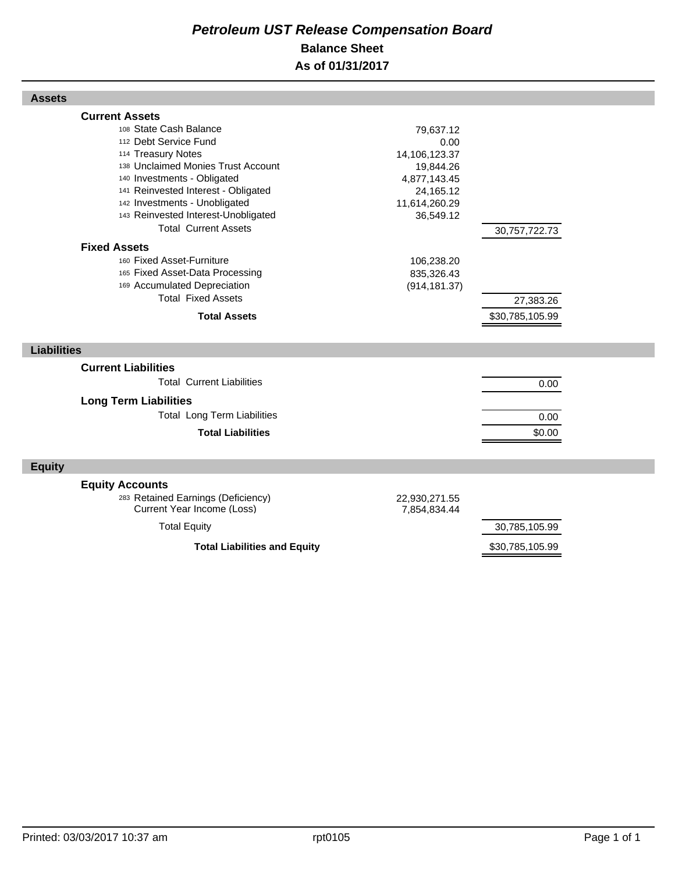## *Petroleum UST Release Compensation Board*  **Balance Sheet As of 01/31/2017**

| <b>Assets</b>                                                                                                                                                                                                                                                                                                                                                                                                                                                                                |                                                                                                                                                         |                                               |  |
|----------------------------------------------------------------------------------------------------------------------------------------------------------------------------------------------------------------------------------------------------------------------------------------------------------------------------------------------------------------------------------------------------------------------------------------------------------------------------------------------|---------------------------------------------------------------------------------------------------------------------------------------------------------|-----------------------------------------------|--|
| <b>Current Assets</b><br>108 State Cash Balance<br>112 Debt Service Fund<br>114 Treasury Notes<br>138 Unclaimed Monies Trust Account<br>140 Investments - Obligated<br>141 Reinvested Interest - Obligated<br>142 Investments - Unobligated<br>143 Reinvested Interest-Unobligated<br><b>Total Current Assets</b><br><b>Fixed Assets</b><br>160 Fixed Asset-Furniture<br>165 Fixed Asset-Data Processing<br>169 Accumulated Depreciation<br><b>Total Fixed Assets</b><br><b>Total Assets</b> | 79,637.12<br>0.00<br>14,106,123.37<br>19,844.26<br>4,877,143.45<br>24,165.12<br>11,614,260.29<br>36,549.12<br>106,238.20<br>835,326.43<br>(914, 181.37) | 30,757,722.73<br>27,383.26<br>\$30,785,105.99 |  |
| <b>Liabilities</b>                                                                                                                                                                                                                                                                                                                                                                                                                                                                           |                                                                                                                                                         |                                               |  |
| <b>Current Liabilities</b><br><b>Total Current Liabilities</b><br><b>Long Term Liabilities</b><br><b>Total Long Term Liabilities</b><br><b>Total Liabilities</b>                                                                                                                                                                                                                                                                                                                             |                                                                                                                                                         | 0.00<br>0.00<br>\$0.00                        |  |
| <b>Equity</b>                                                                                                                                                                                                                                                                                                                                                                                                                                                                                |                                                                                                                                                         |                                               |  |
| <b>Equity Accounts</b><br>283 Retained Earnings (Deficiency)<br>Current Year Income (Loss)<br><b>Total Equity</b>                                                                                                                                                                                                                                                                                                                                                                            | 22,930,271.55<br>7,854,834.44                                                                                                                           | 30,785,105.99                                 |  |

Total Liabilities and Equity **\$30,785,105.99**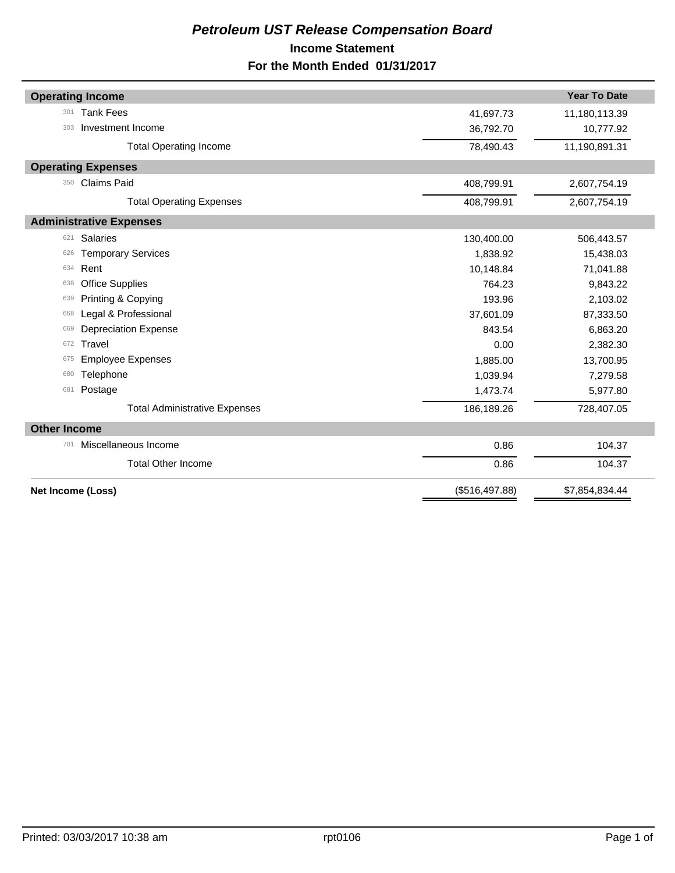## *Petroleum UST Release Compensation Board*  **Income Statement For the Month Ended 01/31/2017**

|                     | <b>Operating Income</b>              |                | <b>Year To Date</b> |
|---------------------|--------------------------------------|----------------|---------------------|
| 301                 | <b>Tank Fees</b>                     | 41,697.73      | 11,180,113.39       |
| 303                 | Investment Income                    | 36,792.70      | 10,777.92           |
|                     | <b>Total Operating Income</b>        | 78,490.43      | 11,190,891.31       |
|                     | <b>Operating Expenses</b>            |                |                     |
| 350                 | <b>Claims Paid</b>                   | 408,799.91     | 2,607,754.19        |
|                     | <b>Total Operating Expenses</b>      | 408,799.91     | 2,607,754.19        |
|                     | <b>Administrative Expenses</b>       |                |                     |
| 621                 | <b>Salaries</b>                      | 130,400.00     | 506,443.57          |
| 626                 | <b>Temporary Services</b>            | 1,838.92       | 15,438.03           |
| 634                 | Rent                                 | 10,148.84      | 71,041.88           |
| 638                 | <b>Office Supplies</b>               | 764.23         | 9,843.22            |
| 639                 | Printing & Copying                   | 193.96         | 2,103.02            |
| 668                 | Legal & Professional                 | 37,601.09      | 87,333.50           |
| 669                 | <b>Depreciation Expense</b>          | 843.54         | 6,863.20            |
| 672                 | Travel                               | 0.00           | 2,382.30            |
| 675                 | <b>Employee Expenses</b>             | 1,885.00       | 13,700.95           |
| 680                 | Telephone                            | 1,039.94       | 7,279.58            |
| 681                 | Postage                              | 1,473.74       | 5,977.80            |
|                     | <b>Total Administrative Expenses</b> | 186,189.26     | 728,407.05          |
| <b>Other Income</b> |                                      |                |                     |
| 701                 | Miscellaneous Income                 | 0.86           | 104.37              |
|                     | <b>Total Other Income</b>            | 0.86           | 104.37              |
| Net Income (Loss)   |                                      | (\$516,497.88) | \$7,854,834.44      |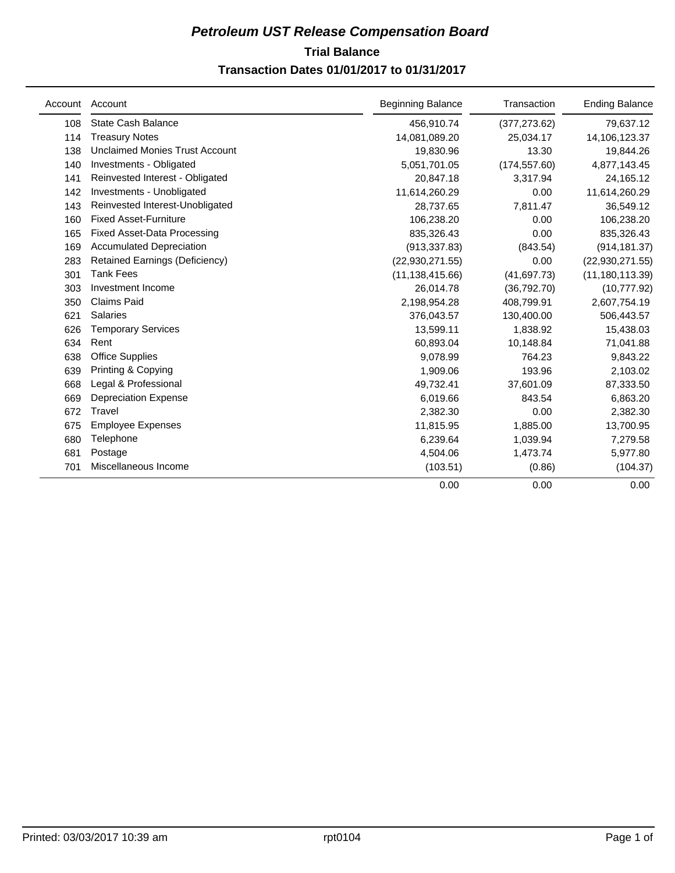## **Trial Balance** *Petroleum UST Release Compensation Board*  **Transaction Dates 01/01/2017 to 01/31/2017**

| Account | Account                               | <b>Beginning Balance</b> | Transaction   | <b>Ending Balance</b> |
|---------|---------------------------------------|--------------------------|---------------|-----------------------|
| 108     | State Cash Balance                    | 456,910.74               | (377, 273.62) | 79,637.12             |
| 114     | <b>Treasury Notes</b>                 | 14,081,089.20            | 25,034.17     | 14,106,123.37         |
| 138     | Unclaimed Monies Trust Account        | 19,830.96                | 13.30         | 19,844.26             |
| 140     | Investments - Obligated               | 5,051,701.05             | (174, 557.60) | 4,877,143.45          |
| 141     | Reinvested Interest - Obligated       | 20,847.18                | 3,317.94      | 24,165.12             |
| 142     | Investments - Unobligated             | 11,614,260.29            | 0.00          | 11,614,260.29         |
| 143     | Reinvested Interest-Unobligated       | 28,737.65                | 7,811.47      | 36,549.12             |
| 160     | <b>Fixed Asset-Furniture</b>          | 106,238.20               | 0.00          | 106,238.20            |
| 165     | <b>Fixed Asset-Data Processing</b>    | 835,326.43               | 0.00          | 835,326.43            |
| 169     | <b>Accumulated Depreciation</b>       | (913, 337.83)            | (843.54)      | (914, 181.37)         |
| 283     | <b>Retained Earnings (Deficiency)</b> | (22,930,271.55)          | 0.00          | (22, 930, 271.55)     |
| 301     | <b>Tank Fees</b>                      | (11, 138, 415.66)        | (41, 697.73)  | (11, 180, 113.39)     |
| 303     | Investment Income                     | 26,014.78                | (36,792.70)   | (10,777.92)           |
| 350     | <b>Claims Paid</b>                    | 2,198,954.28             | 408,799.91    | 2,607,754.19          |
| 621     | Salaries                              | 376,043.57               | 130,400.00    | 506,443.57            |
| 626     | <b>Temporary Services</b>             | 13,599.11                | 1,838.92      | 15,438.03             |
| 634     | Rent                                  | 60,893.04                | 10,148.84     | 71,041.88             |
| 638     | <b>Office Supplies</b>                | 9.078.99                 | 764.23        | 9,843.22              |
| 639     | Printing & Copying                    | 1,909.06                 | 193.96        | 2,103.02              |
| 668     | Legal & Professional                  | 49,732.41                | 37,601.09     | 87,333.50             |
| 669     | <b>Depreciation Expense</b>           | 6,019.66                 | 843.54        | 6,863.20              |
| 672     | Travel                                | 2,382.30                 | 0.00          | 2,382.30              |
| 675     | <b>Employee Expenses</b>              | 11,815.95                | 1,885.00      | 13,700.95             |
| 680     | Telephone                             | 6,239.64                 | 1,039.94      | 7,279.58              |
| 681     | Postage                               | 4,504.06                 | 1,473.74      | 5,977.80              |
| 701     | Miscellaneous Income                  | (103.51)                 | (0.86)        | (104.37)              |
|         |                                       | 0.00                     | 0.00          | 0.00                  |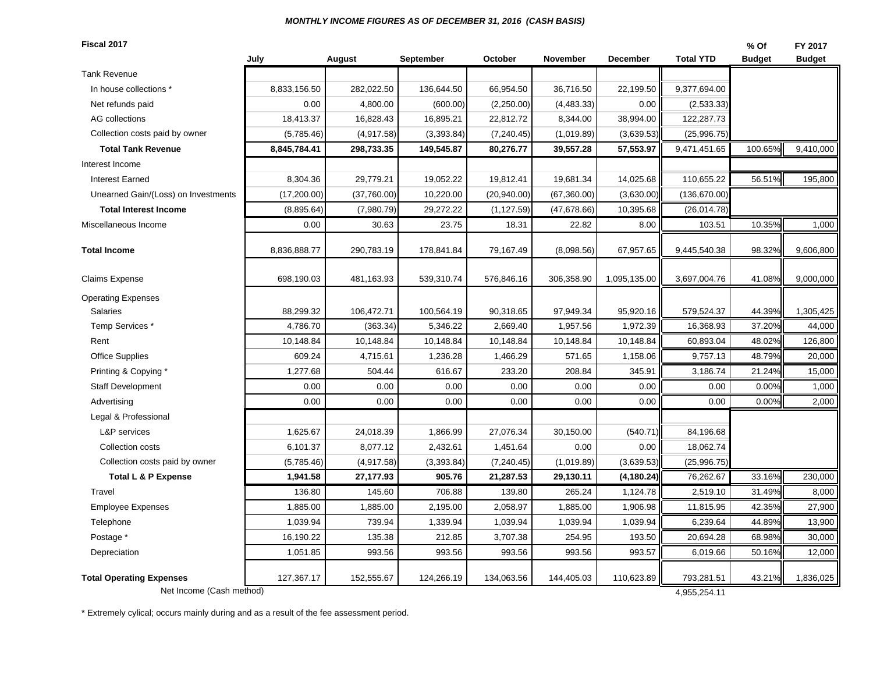#### *MONTHLY INCOME FIGURES AS OF DECEMBER 31, 2016 (CASH BASIS)*

**Fiscal 2017**

| Fiscal 2017                         |              |             |            |              |              |                 |                  | % Of          | FY 2017       |
|-------------------------------------|--------------|-------------|------------|--------------|--------------|-----------------|------------------|---------------|---------------|
|                                     | July         | August      | September  | October      | November     | <b>December</b> | <b>Total YTD</b> | <b>Budget</b> | <b>Budget</b> |
| <b>Tank Revenue</b>                 |              |             |            |              |              |                 |                  |               |               |
| In house collections *              | 8,833,156.50 | 282,022.50  | 136,644.50 | 66,954.50    | 36,716.50    | 22,199.50       | 9,377,694.00     |               |               |
| Net refunds paid                    | 0.00         | 4,800.00    | (600.00)   | (2,250.00)   | (4, 483.33)  | 0.00            | (2,533.33)       |               |               |
| AG collections                      | 18,413.37    | 16,828.43   | 16,895.21  | 22,812.72    | 8,344.00     | 38,994.00       | 122,287.73       |               |               |
| Collection costs paid by owner      | (5,785.46)   | (4,917.58)  | (3,393.84) | (7, 240.45)  | (1,019.89)   | (3,639.53)      | (25,996.75)      |               |               |
| <b>Total Tank Revenue</b>           | 8,845,784.41 | 298,733.35  | 149,545.87 | 80,276.77    | 39,557.28    | 57,553.97       | 9,471,451.65     | 100.65%       | 9,410,000     |
| Interest Income                     |              |             |            |              |              |                 |                  |               |               |
| <b>Interest Earned</b>              | 8,304.36     | 29,779.21   | 19,052.22  | 19,812.41    | 19,681.34    | 14,025.68       | 110,655.22       | 56.51%        | 195,800       |
| Unearned Gain/(Loss) on Investments | (17,200.00)  | (37,760.00) | 10,220.00  | (20, 940.00) | (67, 360.00) | (3,630.00)      | (136, 670.00)    |               |               |
| <b>Total Interest Income</b>        | (8,895.64)   | (7,980.79)  | 29,272.22  | (1, 127.59)  | (47, 678.66) | 10,395.68       | (26, 014.78)     |               |               |
| Miscellaneous Income                | 0.00         | 30.63       | 23.75      | 18.31        | 22.82        | 8.00            | 103.51           | 10.35%        | 1,000         |
| <b>Total Income</b>                 | 8,836,888.77 | 290,783.19  | 178,841.84 | 79,167.49    | (8,098.56)   | 67,957.65       | 9,445,540.38     | 98.32%        | 9,606,800     |
| <b>Claims Expense</b>               | 698,190.03   | 481,163.93  | 539,310.74 | 576,846.16   | 306,358.90   | 1,095,135.00    | 3,697,004.76     | 41.08%        | 9,000,000     |
| <b>Operating Expenses</b>           |              |             |            |              |              |                 |                  |               |               |
| <b>Salaries</b>                     | 88,299.32    | 106,472.71  | 100,564.19 | 90,318.65    | 97,949.34    | 95,920.16       | 579,524.37       | 44.39%        | 1,305,425     |
| Temp Services *                     | 4,786.70     | (363.34)    | 5,346.22   | 2,669.40     | 1,957.56     | 1,972.39        | 16,368.93        | 37.20%        | 44,000        |
| Rent                                | 10,148.84    | 10,148.84   | 10,148.84  | 10,148.84    | 10,148.84    | 10,148.84       | 60,893.04        | 48.02%        | 126,800       |
| <b>Office Supplies</b>              | 609.24       | 4,715.61    | 1,236.28   | 1,466.29     | 571.65       | 1,158.06        | 9,757.13         | 48.79%        | 20,000        |
| Printing & Copying *                | 1,277.68     | 504.44      | 616.67     | 233.20       | 208.84       | 345.91          | 3,186.74         | 21.24%        | 15,000        |
| Staff Development                   | 0.00         | 0.00        | 0.00       | 0.00         | 0.00         | 0.00            | 0.00             | 0.00%         | 1,000         |
| Advertising                         | 0.00         | 0.00        | 0.00       | 0.00         | 0.00         | 0.00            | 0.00             | 0.00%         | 2,000         |
| Legal & Professional                |              |             |            |              |              |                 |                  |               |               |
| <b>L&amp;P</b> services             | 1,625.67     | 24,018.39   | 1,866.99   | 27,076.34    | 30,150.00    | (540.71)        | 84,196.68        |               |               |
| Collection costs                    | 6,101.37     | 8,077.12    | 2,432.61   | 1,451.64     | 0.00         | 0.00            | 18,062.74        |               |               |
| Collection costs paid by owner      | (5,785.46)   | (4,917.58)  | (3,393.84) | (7, 240.45)  | (1,019.89)   | (3,639.53)      | (25,996.75)      |               |               |
| <b>Total L &amp; P Expense</b>      | 1,941.58     | 27,177.93   | 905.76     | 21,287.53    | 29,130.11    | (4, 180.24)     | 76,262.67        | 33.16%        | 230,000       |
| Travel                              | 136.80       | 145.60      | 706.88     | 139.80       | 265.24       | 1,124.78        | 2,519.10         | 31.49%        | 8,000         |
| <b>Employee Expenses</b>            | 1,885.00     | 1,885.00    | 2,195.00   | 2,058.97     | 1,885.00     | 1,906.98        | 11,815.95        | 42.35%        | 27,900        |
| Telephone                           | 1,039.94     | 739.94      | 1,339.94   | 1,039.94     | 1,039.94     | 1,039.94        | 6,239.64         | 44.89%        | 13,900        |
| Postage *                           | 16,190.22    | 135.38      | 212.85     | 3,707.38     | 254.95       | 193.50          | 20,694.28        | 68.98%        | 30,000        |
| Depreciation                        | 1,051.85     | 993.56      | 993.56     | 993.56       | 993.56       | 993.57          | 6,019.66         | 50.16%        | 12,000        |
| <b>Total Operating Expenses</b>     | 127,367.17   | 152,555.67  | 124,266.19 | 134,063.56   | 144,405.03   | 110,623.89      | 793,281.51       | 43.21%        | 1,836,025     |
| Net Income (Cash method)            |              |             |            |              |              |                 | 4,955,254.11     |               |               |

\* Extremely cylical; occurs mainly during and as a result of the fee assessment period.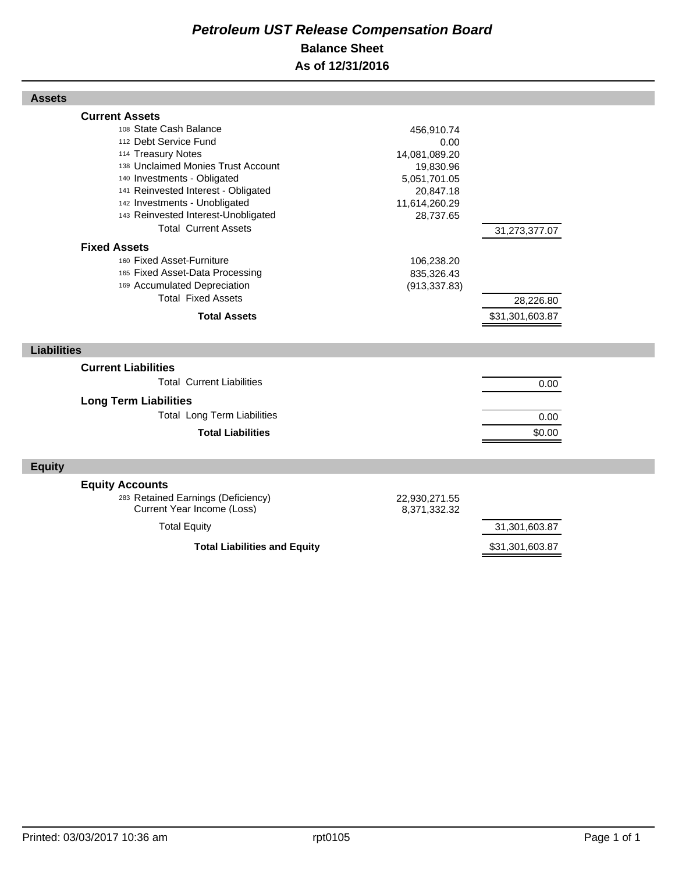## *Petroleum UST Release Compensation Board*  **Balance Sheet As of 12/31/2016**

| <b>Assets</b>                                                                                                                                                                                                                                                                                                                                                                                                                                                                                |                                                                                                                                                          |                                               |  |
|----------------------------------------------------------------------------------------------------------------------------------------------------------------------------------------------------------------------------------------------------------------------------------------------------------------------------------------------------------------------------------------------------------------------------------------------------------------------------------------------|----------------------------------------------------------------------------------------------------------------------------------------------------------|-----------------------------------------------|--|
| <b>Current Assets</b><br>108 State Cash Balance<br>112 Debt Service Fund<br>114 Treasury Notes<br>138 Unclaimed Monies Trust Account<br>140 Investments - Obligated<br>141 Reinvested Interest - Obligated<br>142 Investments - Unobligated<br>143 Reinvested Interest-Unobligated<br><b>Total Current Assets</b><br><b>Fixed Assets</b><br>160 Fixed Asset-Furniture<br>165 Fixed Asset-Data Processing<br>169 Accumulated Depreciation<br><b>Total Fixed Assets</b><br><b>Total Assets</b> | 456,910.74<br>0.00<br>14,081,089.20<br>19,830.96<br>5,051,701.05<br>20,847.18<br>11,614,260.29<br>28,737.65<br>106,238.20<br>835,326.43<br>(913, 337.83) | 31,273,377.07<br>28,226.80<br>\$31,301,603.87 |  |
| <b>Liabilities</b>                                                                                                                                                                                                                                                                                                                                                                                                                                                                           |                                                                                                                                                          |                                               |  |
| <b>Current Liabilities</b><br><b>Total Current Liabilities</b><br><b>Long Term Liabilities</b><br><b>Total Long Term Liabilities</b><br><b>Total Liabilities</b>                                                                                                                                                                                                                                                                                                                             |                                                                                                                                                          | 0.00<br>0.00<br>\$0.00                        |  |
| <b>Equity</b>                                                                                                                                                                                                                                                                                                                                                                                                                                                                                |                                                                                                                                                          |                                               |  |
| <b>Equity Accounts</b><br>283 Retained Earnings (Deficiency)<br>Current Year Income (Loss)<br><b>Total Equity</b>                                                                                                                                                                                                                                                                                                                                                                            | 22,930,271.55<br>8,371,332.32                                                                                                                            | 31,301,603.87                                 |  |
| <b>Total Liabilities and Equity</b>                                                                                                                                                                                                                                                                                                                                                                                                                                                          |                                                                                                                                                          | \$31,301,603.87                               |  |

Г

Г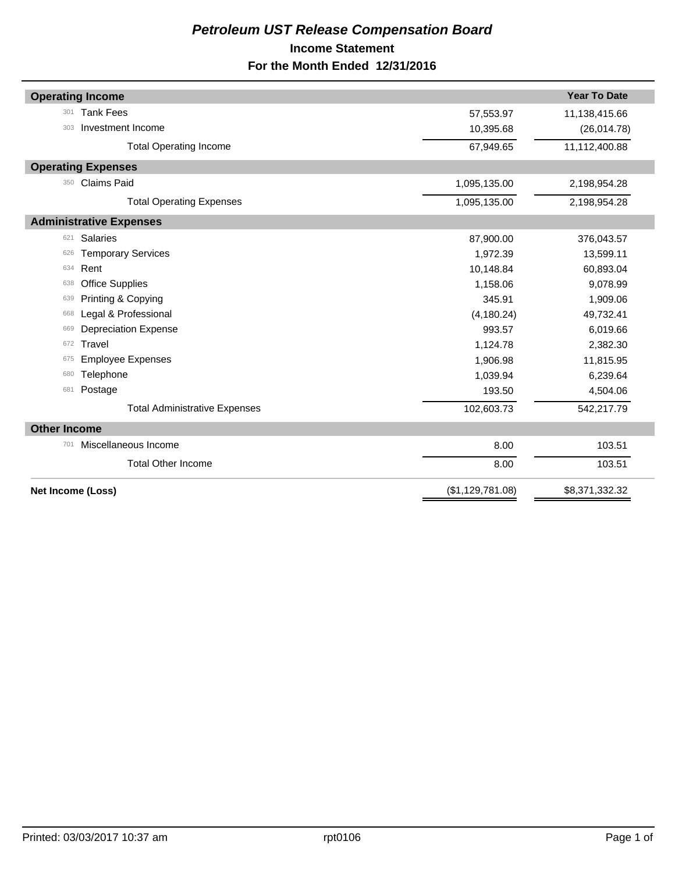## *Petroleum UST Release Compensation Board*  **Income Statement For the Month Ended 12/31/2016**

|                     | <b>Operating Income</b>              |                  | <b>Year To Date</b> |
|---------------------|--------------------------------------|------------------|---------------------|
| 301                 | <b>Tank Fees</b>                     | 57,553.97        | 11,138,415.66       |
| 303                 | Investment Income                    | 10,395.68        | (26,014.78)         |
|                     | <b>Total Operating Income</b>        | 67,949.65        | 11,112,400.88       |
|                     | <b>Operating Expenses</b>            |                  |                     |
| 350                 | <b>Claims Paid</b>                   | 1,095,135.00     | 2,198,954.28        |
|                     | <b>Total Operating Expenses</b>      | 1,095,135.00     | 2,198,954.28        |
|                     | <b>Administrative Expenses</b>       |                  |                     |
| 621                 | <b>Salaries</b>                      | 87,900.00        | 376,043.57          |
| 626                 | <b>Temporary Services</b>            | 1,972.39         | 13,599.11           |
| 634                 | Rent                                 | 10,148.84        | 60,893.04           |
| 638                 | <b>Office Supplies</b>               | 1,158.06         | 9,078.99            |
| 639                 | Printing & Copying                   | 345.91           | 1,909.06            |
| 668                 | Legal & Professional                 | (4, 180.24)      | 49,732.41           |
| 669                 | <b>Depreciation Expense</b>          | 993.57           | 6,019.66            |
| 672                 | Travel                               | 1,124.78         | 2,382.30            |
| 675                 | <b>Employee Expenses</b>             | 1,906.98         | 11,815.95           |
| 680                 | Telephone                            | 1,039.94         | 6,239.64            |
| 681                 | Postage                              | 193.50           | 4,504.06            |
|                     | <b>Total Administrative Expenses</b> | 102,603.73       | 542,217.79          |
| <b>Other Income</b> |                                      |                  |                     |
| 701                 | Miscellaneous Income                 | 8.00             | 103.51              |
|                     | <b>Total Other Income</b>            | 8.00             | 103.51              |
|                     | Net Income (Loss)                    | (\$1,129,781.08) | \$8,371,332.32      |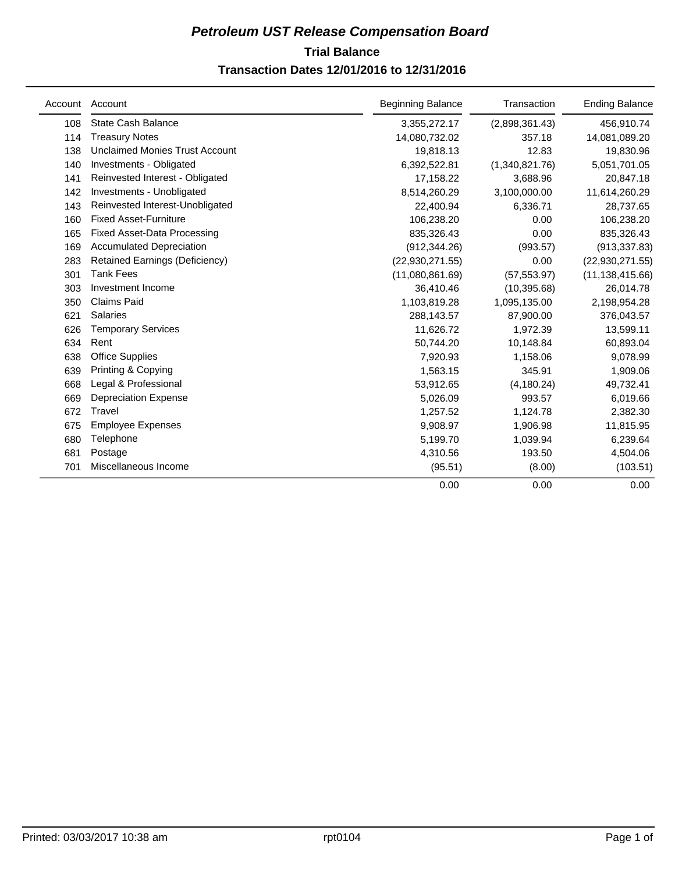## **Trial Balance** *Petroleum UST Release Compensation Board*  **Transaction Dates 12/01/2016 to 12/31/2016**

| Account | Account                               | <b>Beginning Balance</b> | Transaction    | <b>Ending Balance</b> |
|---------|---------------------------------------|--------------------------|----------------|-----------------------|
| 108     | State Cash Balance                    | 3,355,272.17             | (2,898,361.43) | 456,910.74            |
| 114     | <b>Treasury Notes</b>                 | 14,080,732.02            | 357.18         | 14,081,089.20         |
| 138     | <b>Unclaimed Monies Trust Account</b> | 19,818.13                | 12.83          | 19,830.96             |
| 140     | Investments - Obligated               | 6,392,522.81             | (1,340,821.76) | 5,051,701.05          |
| 141     | Reinvested Interest - Obligated       | 17,158.22                | 3,688.96       | 20,847.18             |
| 142     | Investments - Unobligated             | 8,514,260.29             | 3,100,000.00   | 11,614,260.29         |
| 143     | Reinvested Interest-Unobligated       | 22,400.94                | 6,336.71       | 28,737.65             |
| 160     | <b>Fixed Asset-Furniture</b>          | 106,238.20               | 0.00           | 106,238.20            |
| 165     | <b>Fixed Asset-Data Processing</b>    | 835,326.43               | 0.00           | 835,326.43            |
| 169     | <b>Accumulated Depreciation</b>       | (912, 344.26)            | (993.57)       | (913, 337.83)         |
| 283     | <b>Retained Earnings (Deficiency)</b> | (22,930,271.55)          | 0.00           | (22,930,271.55)       |
| 301     | <b>Tank Fees</b>                      | (11,080,861.69)          | (57, 553.97)   | (11, 138, 415.66)     |
| 303     | Investment Income                     | 36,410.46                | (10, 395.68)   | 26,014.78             |
| 350     | <b>Claims Paid</b>                    | 1,103,819.28             | 1,095,135.00   | 2,198,954.28          |
| 621     | <b>Salaries</b>                       | 288,143.57               | 87,900.00      | 376,043.57            |
| 626     | <b>Temporary Services</b>             | 11,626.72                | 1,972.39       | 13,599.11             |
| 634     | Rent                                  | 50,744.20                | 10,148.84      | 60,893.04             |
| 638     | <b>Office Supplies</b>                | 7,920.93                 | 1,158.06       | 9,078.99              |
| 639     | Printing & Copying                    | 1,563.15                 | 345.91         | 1,909.06              |
| 668     | Legal & Professional                  | 53,912.65                | (4, 180.24)    | 49,732.41             |
| 669     | <b>Depreciation Expense</b>           | 5,026.09                 | 993.57         | 6,019.66              |
| 672     | Travel                                | 1,257.52                 | 1,124.78       | 2,382.30              |
| 675     | <b>Employee Expenses</b>              | 9,908.97                 | 1,906.98       | 11,815.95             |
| 680     | Telephone                             | 5,199.70                 | 1,039.94       | 6,239.64              |
| 681     | Postage                               | 4,310.56                 | 193.50         | 4,504.06              |
| 701     | Miscellaneous Income                  | (95.51)                  | (8.00)         | (103.51)              |
|         |                                       | 0.00                     | 0.00           | 0.00                  |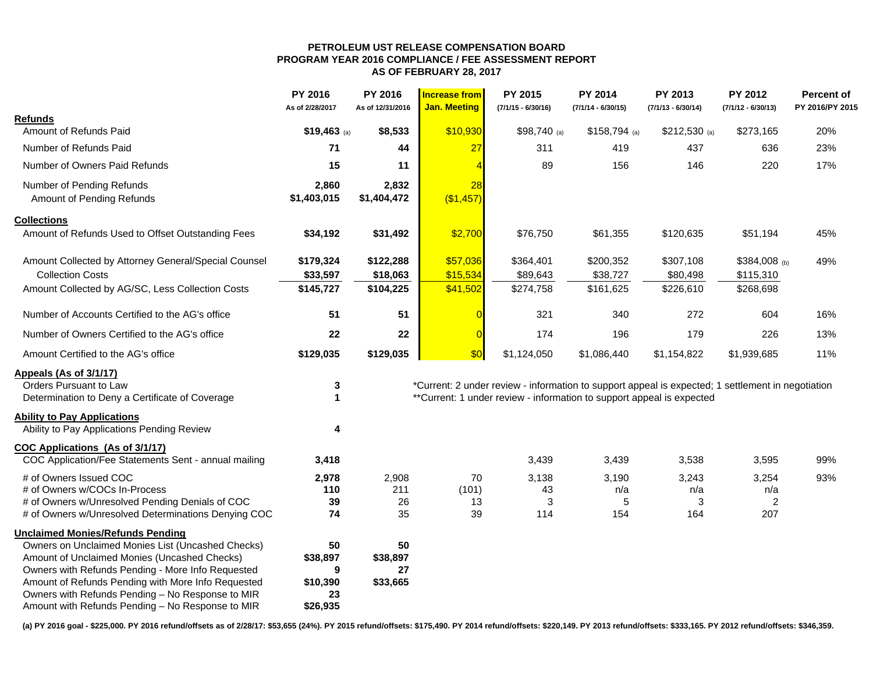#### **PETROLEUM UST RELEASE COMPENSATION BOARDPROGRAM YEAR 2016 COMPLIANCE / FEE ASSESSMENT REPORT AS OF FEBRUARY 28, 2017**

|                                                      | PY 2016<br>As of 2/28/2017 | PY 2016<br>As of 12/31/2016 | <b>Increase from</b><br><b>Jan. Meeting</b> | PY 2015<br>$(7/1/15 - 6/30/16)$                                                                   | PY 2014<br>$(7/1/14 - 6/30/15)$ | PY 2013<br>$(7/1/13 - 6/30/14)$ | PY 2012<br>$(7/1/12 - 6/30/13)$ | Percent of<br>PY 2016/PY 2015 |
|------------------------------------------------------|----------------------------|-----------------------------|---------------------------------------------|---------------------------------------------------------------------------------------------------|---------------------------------|---------------------------------|---------------------------------|-------------------------------|
| <b>Refunds</b>                                       |                            |                             |                                             |                                                                                                   |                                 |                                 |                                 |                               |
| Amount of Refunds Paid                               | $$19,463$ (a)              | \$8,533                     | \$10,930                                    | $$98,740$ (a)                                                                                     | $$158,794$ (a)                  | $$212,530$ (a)                  | \$273,165                       | 20%                           |
| Number of Refunds Paid                               | 71                         | 44                          | 27                                          | 311                                                                                               | 419                             | 437                             | 636                             | 23%                           |
| Number of Owners Paid Refunds                        | 15                         | 11                          |                                             | 89                                                                                                | 156                             | 146                             | 220                             | 17%                           |
| Number of Pending Refunds                            | 2,860                      | 2,832                       | 28                                          |                                                                                                   |                                 |                                 |                                 |                               |
| Amount of Pending Refunds                            | \$1,403,015                | \$1,404,472                 | (\$1,457)                                   |                                                                                                   |                                 |                                 |                                 |                               |
| <b>Collections</b>                                   |                            |                             |                                             |                                                                                                   |                                 |                                 |                                 |                               |
| Amount of Refunds Used to Offset Outstanding Fees    | \$34,192                   | \$31,492                    | \$2,700                                     | \$76,750                                                                                          | \$61,355                        | \$120,635                       | \$51,194                        | 45%                           |
| Amount Collected by Attorney General/Special Counsel | \$179,324                  | \$122,288                   | \$57,036                                    | \$364,401                                                                                         | \$200,352                       | \$307,108                       | $$384,008$ (b)                  | 49%                           |
| <b>Collection Costs</b>                              | \$33,597                   | \$18,063                    | \$15,534                                    | \$89,643                                                                                          | \$38,727                        | \$80,498                        | \$115,310                       |                               |
| Amount Collected by AG/SC, Less Collection Costs     | \$145,727                  | \$104,225                   | \$41,502                                    | \$274,758                                                                                         | \$161,625                       | \$226,610                       | \$268,698                       |                               |
| Number of Accounts Certified to the AG's office      | 51                         | 51                          |                                             | 321                                                                                               | 340                             | 272                             | 604                             | 16%                           |
| Number of Owners Certified to the AG's office        | 22                         | 22                          | $\epsilon$                                  | 174                                                                                               | 196                             | 179                             | 226                             | 13%                           |
| Amount Certified to the AG's office                  | \$129,035                  | \$129,035                   | \$0                                         | \$1,124,050                                                                                       | \$1,086,440                     | \$1,154,822                     | \$1,939,685                     | 11%                           |
| Appeals (As of 3/1/17)                               |                            |                             |                                             |                                                                                                   |                                 |                                 |                                 |                               |
| Orders Pursuant to Law                               | 3                          |                             |                                             | *Current: 2 under review - information to support appeal is expected; 1 settlement in negotiation |                                 |                                 |                                 |                               |
| Determination to Deny a Certificate of Coverage      | 1                          |                             |                                             | **Current: 1 under review - information to support appeal is expected                             |                                 |                                 |                                 |                               |
| <b>Ability to Pay Applications</b>                   |                            |                             |                                             |                                                                                                   |                                 |                                 |                                 |                               |
| Ability to Pay Applications Pending Review           | 4                          |                             |                                             |                                                                                                   |                                 |                                 |                                 |                               |
| COC Applications (As of 3/1/17)                      |                            |                             |                                             |                                                                                                   |                                 |                                 |                                 |                               |
| COC Application/Fee Statements Sent - annual mailing | 3,418                      |                             |                                             | 3,439                                                                                             | 3,439                           | 3,538                           | 3,595                           | 99%                           |
| # of Owners Issued COC                               | 2,978                      | 2,908                       | 70                                          | 3,138                                                                                             | 3,190                           | 3,243                           | 3,254                           | 93%                           |
| # of Owners w/COCs In-Process                        | 110                        | 211                         | (101)                                       | 43                                                                                                | n/a                             | n/a                             | n/a                             |                               |
| # of Owners w/Unresolved Pending Denials of COC      | 39                         | 26                          | 13                                          | 3                                                                                                 | 5                               | 3                               | $\overline{c}$                  |                               |
| # of Owners w/Unresolved Determinations Denying COC  | 74                         | 35                          | 39                                          | 114                                                                                               | 154                             | 164                             | 207                             |                               |
| <b>Unclaimed Monies/Refunds Pending</b>              |                            |                             |                                             |                                                                                                   |                                 |                                 |                                 |                               |
| Owners on Unclaimed Monies List (Uncashed Checks)    | 50                         | 50                          |                                             |                                                                                                   |                                 |                                 |                                 |                               |
| Amount of Unclaimed Monies (Uncashed Checks)         | \$38,897                   | \$38,897                    |                                             |                                                                                                   |                                 |                                 |                                 |                               |
| Owners with Refunds Pending - More Info Requested    | 9                          | 27                          |                                             |                                                                                                   |                                 |                                 |                                 |                               |
| Amount of Refunds Pending with More Info Requested   | \$10,390                   | \$33,665                    |                                             |                                                                                                   |                                 |                                 |                                 |                               |
| Owners with Refunds Pending - No Response to MIR     | 23                         |                             |                                             |                                                                                                   |                                 |                                 |                                 |                               |
| Amount with Refunds Pending - No Response to MIR     | \$26,935                   |                             |                                             |                                                                                                   |                                 |                                 |                                 |                               |

**(a) PY 2016 goal - \$225,000. PY 2016 refund/offsets as of 2/28/17: \$53,655 (24%). PY 2015 refund/offsets: \$175,490. PY 2014 refund/offsets: \$220,149. PY 2013 refund/offsets: \$333,165. PY 2012 refund/offsets: \$346,359.**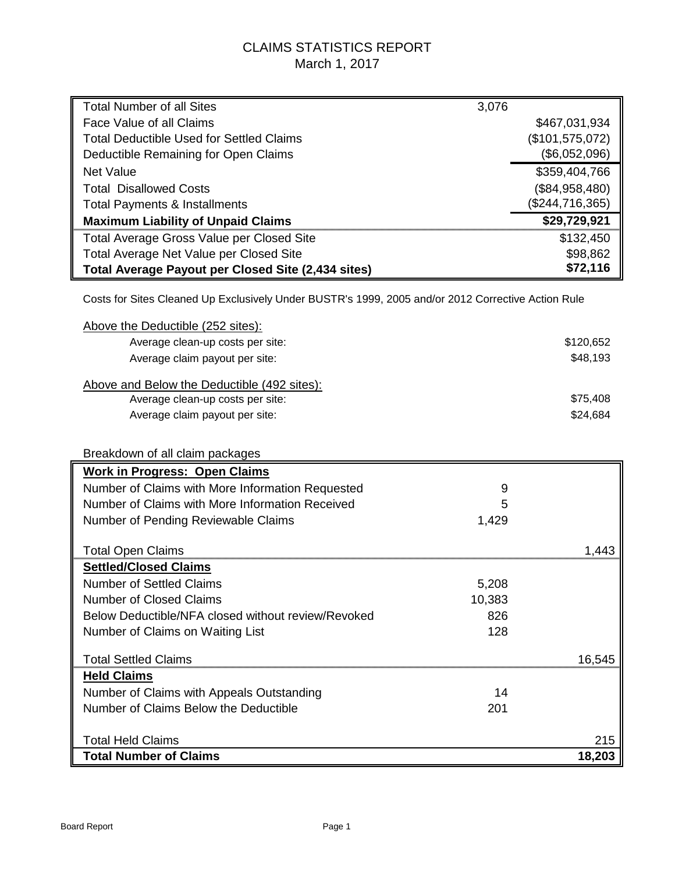## CLAIMS STATISTICS REPORT March 1, 2017

| <b>Total Number of all Sites</b>                                                                   | 3,076           |
|----------------------------------------------------------------------------------------------------|-----------------|
| Face Value of all Claims                                                                           | \$467,031,934   |
| <b>Total Deductible Used for Settled Claims</b>                                                    | (\$101,575,072) |
| Deductible Remaining for Open Claims                                                               | (\$6,052,096)   |
| <b>Net Value</b>                                                                                   | \$359,404,766   |
| <b>Total Disallowed Costs</b>                                                                      | (\$84,958,480)  |
| <b>Total Payments &amp; Installments</b>                                                           | (\$244,716,365) |
| <b>Maximum Liability of Unpaid Claims</b>                                                          | \$29,729,921    |
| Total Average Gross Value per Closed Site                                                          | \$132,450       |
| Total Average Net Value per Closed Site                                                            | \$98,862        |
| Total Average Payout per Closed Site (2,434 sites)                                                 | \$72,116        |
| Costs for Sites Cleaned Up Exclusively Under BUSTR's 1999, 2005 and/or 2012 Corrective Action Rule |                 |
| Above the Deductible (252 sites):                                                                  |                 |
| Average clean-up costs per site:                                                                   | \$120,652       |
| Average claim payout per site:                                                                     | \$48,193        |
| Above and Below the Deductible (492 sites):                                                        |                 |
| Average clean-up costs per site:                                                                   | \$75,408        |
| Average claim payout per site:                                                                     | \$24,684        |
|                                                                                                    |                 |
| Breakdown of all claim packages                                                                    |                 |
| <b>Work in Progress: Open Claims</b>                                                               |                 |
| Number of Claims with More Information Requested                                                   | 9               |
| Number of Claims with More Information Received                                                    | 5               |
| Number of Pending Reviewable Claims                                                                | 1,429           |
| <b>Total Open Claims</b>                                                                           | 1,443           |
| <b>Settled/Closed Claims</b>                                                                       |                 |
| <b>Number of Settled Claims</b>                                                                    | 5,208           |
| <b>Number of Closed Claims</b>                                                                     | 10,383          |
| Below Deductible/NFA closed without review/Revoked                                                 | 826             |
| Number of Claims on Waiting List                                                                   | 128             |
|                                                                                                    |                 |
| <b>Total Settled Claims</b>                                                                        | 16,545          |
| <b>Held Claims</b>                                                                                 |                 |
| Number of Claims with Appeals Outstanding                                                          | 14              |
| Number of Claims Below the Deductible                                                              | 201             |
|                                                                                                    |                 |
| <b>Total Held Claims</b><br><b>Total Number of Claims</b>                                          | 215<br>18,203   |
|                                                                                                    |                 |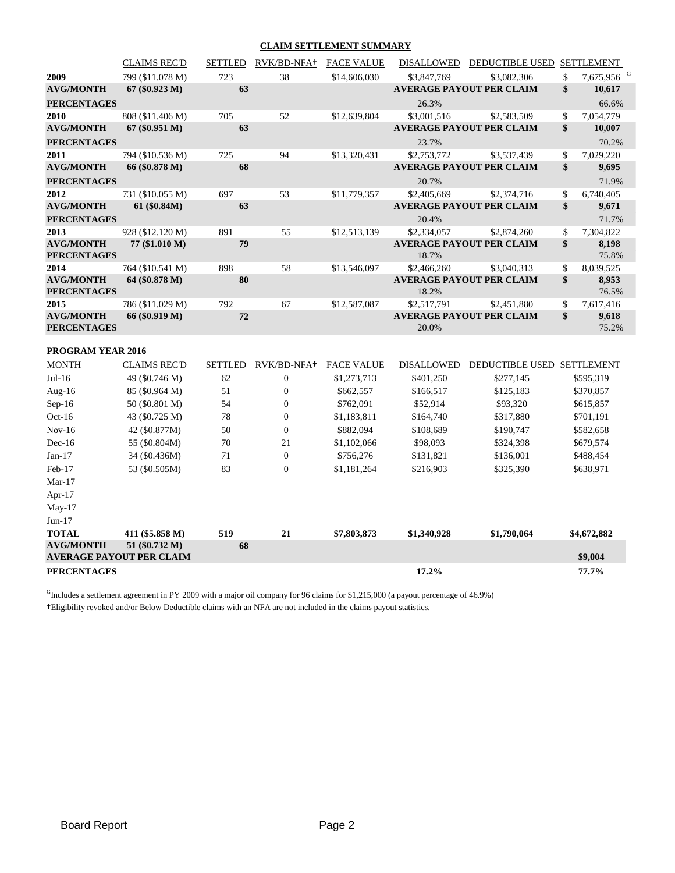#### **CLAIM SETTLEMENT SUMMARY**

|                                        | <b>CLAIMS REC'D</b>             | SETTLED        | RVK/BD-NFA+      | <b>FACE VALUE</b> | DISALLOWED        | DEDUCTIBLE USED SETTLEMENT      |                              |
|----------------------------------------|---------------------------------|----------------|------------------|-------------------|-------------------|---------------------------------|------------------------------|
| 2009                                   | 799 (\$11.078 M)                | 723            | 38               | \$14,606,030      | \$3,847,769       | \$3,082,306                     | \$<br>7,675,956 <sup>G</sup> |
| <b>AVG/MONTH</b>                       | 67 (\$0.923 M)                  | 63             |                  |                   |                   | <b>AVERAGE PAYOUT PER CLAIM</b> | \$<br>10,617                 |
| <b>PERCENTAGES</b>                     |                                 |                |                  |                   | 26.3%             |                                 | 66.6%                        |
| 2010                                   | 808 (\$11.406 M)                | 705            | 52               | \$12,639,804      | \$3,001,516       | \$2,583,509                     | \$<br>7,054,779              |
| <b>AVG/MONTH</b>                       | 67 (\$0.951 M)                  | 63             |                  |                   |                   | <b>AVERAGE PAYOUT PER CLAIM</b> | \$<br>10,007                 |
| <b>PERCENTAGES</b>                     |                                 |                |                  |                   | 23.7%             |                                 | 70.2%                        |
| 2011                                   | 794 (\$10.536 M)                | 725            | 94               | \$13,320,431      | \$2,753,772       | \$3,537,439                     | \$<br>7,029,220              |
| <b>AVG/MONTH</b>                       | 66 (\$0.878 M)                  | 68             |                  |                   |                   | <b>AVERAGE PAYOUT PER CLAIM</b> | \$<br>9,695                  |
| <b>PERCENTAGES</b>                     |                                 |                |                  |                   | 20.7%             |                                 | 71.9%                        |
| 2012                                   | 731 (\$10.055 M)                | 697            | 53               | \$11,779,357      | \$2,405,669       | \$2,374,716                     | \$<br>6,740,405              |
| <b>AVG/MONTH</b>                       | 61 (\$0.84M)                    | 63             |                  |                   |                   | <b>AVERAGE PAYOUT PER CLAIM</b> | \$<br>9,671                  |
| <b>PERCENTAGES</b>                     |                                 |                |                  |                   | 20.4%             |                                 | 71.7%                        |
| 2013                                   | 928 (\$12.120 M)                | 891            | 55               | \$12,513,139      | \$2,334,057       | \$2,874,260                     | \$<br>7,304,822              |
| <b>AVG/MONTH</b><br><b>PERCENTAGES</b> | 77 (\$1.010 M)                  | 79             |                  |                   | 18.7%             | <b>AVERAGE PAYOUT PER CLAIM</b> | \$<br>8,198<br>75.8%         |
| 2014                                   | 764 (\$10.541 M)                | 898            | 58               | \$13,546,097      | \$2,466,260       | \$3,040,313                     | \$<br>8,039,525              |
| <b>AVG/MONTH</b><br><b>PERCENTAGES</b> | 64 (\$0.878 M)                  | 80             |                  |                   | 18.2%             | <b>AVERAGE PAYOUT PER CLAIM</b> | \$<br>8,953<br>76.5%         |
| 2015                                   | 786 (\$11.029 M)                | 792            | 67               | \$12,587,087      | \$2,517,791       | \$2,451,880                     | \$<br>7,617,416              |
| <b>AVG/MONTH</b>                       | 66 (\$0.919 M)                  | 72             |                  |                   |                   | <b>AVERAGE PAYOUT PER CLAIM</b> | \$<br>9,618                  |
| <b>PERCENTAGES</b>                     |                                 |                |                  |                   | 20.0%             |                                 | 75.2%                        |
| PROGRAM YEAR 2016                      |                                 |                |                  |                   |                   |                                 |                              |
| <b>MONTH</b>                           | <b>CLAIMS REC'D</b>             | <b>SETTLED</b> | RVK/BD-NFA+      | <b>FACE VALUE</b> | <b>DISALLOWED</b> | DEDUCTIBLE USED SETTLEMENT      |                              |
| Jul-16                                 | 49 (\$0.746 M)                  | 62             | $\boldsymbol{0}$ | \$1,273,713       | \$401,250         | \$277,145                       | \$595,319                    |
| Aug-16                                 | 85 (\$0.964 M)                  | 51             | $\boldsymbol{0}$ | \$662,557         | \$166,517         | \$125,183                       | \$370,857                    |
| $Sep-16$                               | 50 (\$0.801 M)                  | 54             | $\boldsymbol{0}$ | \$762,091         | \$52,914          | \$93,320                        | \$615,857                    |
| $Oct-16$                               | 43 (\$0.725 M)                  | 78             | $\boldsymbol{0}$ | \$1,183,811       | \$164,740         | \$317,880                       | \$701,191                    |
| $Nov-16$                               | 42 (\$0.877M)                   | 50             | $\overline{0}$   | \$882,094         | \$108,689         | \$190,747                       | \$582,658                    |
| $Dec-16$                               | 55 (\$0.804M)                   | 70             | 21               | \$1,102,066       | \$98,093          | \$324,398                       | \$679,574                    |
| $Jan-17$                               | 34 (\$0.436M)                   | 71             | $\boldsymbol{0}$ | \$756,276         | \$131,821         | \$136,001                       | \$488,454                    |
| Feb-17                                 | 53 (\$0.505M)                   | 83             | $\overline{0}$   | \$1,181,264       | \$216,903         | \$325,390                       | \$638,971                    |
| $Mar-17$                               |                                 |                |                  |                   |                   |                                 |                              |
| Apr-17                                 |                                 |                |                  |                   |                   |                                 |                              |
| $May-17$                               |                                 |                |                  |                   |                   |                                 |                              |
| $Jun-17$                               |                                 |                |                  |                   |                   |                                 |                              |
| <b>TOTAL</b>                           | 411 (\$5.858 M)                 | 519            | 21               | \$7,803,873       | \$1,340,928       | \$1,790,064                     | \$4,672,882                  |
| <b>AVG/MONTH</b>                       | 51 (\$0.732 M)                  | 68             |                  |                   |                   |                                 |                              |
|                                        | <b>AVERAGE PAYOUT PER CLAIM</b> |                |                  |                   |                   |                                 | \$9,004                      |
| <b>PERCENTAGES</b>                     |                                 |                |                  |                   | 17.2%             |                                 | 77.7%                        |

GIncludes a settlement agreement in PY 2009 with a major oil company for 96 claims for \$1,215,000 (a payout percentage of 46.9%) **†**Eligibility revoked and/or Below Deductible claims with an NFA are not included in the claims payout statistics.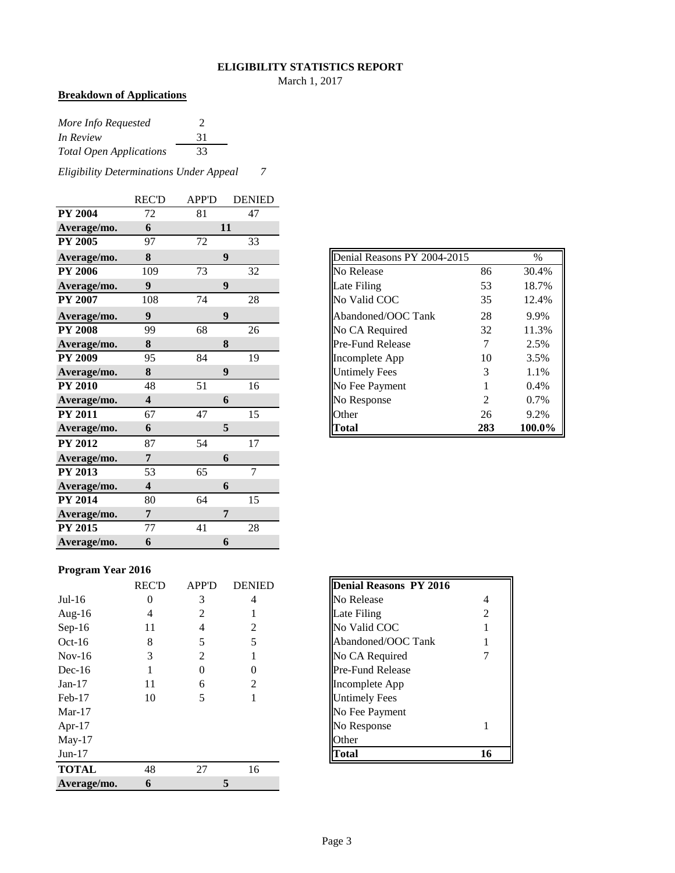#### **ELIGIBILITY STATISTICS REPORT**

March 1, 2017

## **Breakdown of Applications**

| More Info Requested            | $\mathcal{D}$ |
|--------------------------------|---------------|
| In Review                      | 31            |
| <b>Total Open Applications</b> | 33            |

*Eligibility Determinations Under Appeal 7*

|                | <b>REC'D</b>            | <b>APP'D</b> | <b>DENIED</b>  |
|----------------|-------------------------|--------------|----------------|
| <b>PY 2004</b> | 72                      | 81           | 47             |
| Average/mo.    | 6                       |              | 11             |
| <b>PY 2005</b> | 97                      | 72           | 33             |
| Average/mo.    | 8                       |              | 9              |
| <b>PY 2006</b> | 109                     | 73           | 32             |
| Average/mo.    | $\boldsymbol{9}$        |              | 9              |
| <b>PY 2007</b> | 108                     | 74           | 28             |
| Average/mo.    | $\boldsymbol{9}$        |              | 9              |
| <b>PY 2008</b> | 99                      | 68           | 26             |
| Average/mo.    | 8                       |              | 8              |
| <b>PY 2009</b> | 95                      | 84           | 19             |
| Average/mo.    | 8                       |              | 9              |
| <b>PY 2010</b> | 48                      | 51           | 16             |
| Average/mo.    | $\overline{\mathbf{4}}$ |              | 6              |
| <b>PY 2011</b> | 67                      | 47           | 15             |
| Average/mo.    | 6                       |              | 5              |
| <b>PY 2012</b> | 87                      | 54           | 17             |
| Average/mo.    | 7                       |              | 6              |
| <b>PY 2013</b> | 53                      | 65           | $\overline{7}$ |
| Average/mo.    | $\overline{\mathbf{4}}$ |              | 6              |
| <b>PY 2014</b> | 80                      | 64           | 15             |
| Average/mo.    | 7                       |              | 7              |
| <b>PY 2015</b> | 77                      | 41           | 28             |
| Average/mo.    | 6                       |              | 6              |

|  | <b>Program Year 2016</b> |  |  |
|--|--------------------------|--|--|
|--|--------------------------|--|--|

|              | <b>REC'D</b> | <b>APP'D</b> | <b>DENIED</b> | <b>Denial Reasons PY 2016</b> |
|--------------|--------------|--------------|---------------|-------------------------------|
|              |              |              |               |                               |
| $Jul-16$     | 0            | 3            | 4             | No Release<br>4               |
| Aug- $16$    | 4            | 2            |               | Late Filing<br>2              |
| $Sep-16$     | 11           | 4            | 2             | No Valid COC                  |
| $Oct-16$     | 8            |              | 5             | Abandoned/OOC Tank            |
| $Nov-16$     | 3            | 2            |               | No CA Required                |
| $Dec-16$     |              | $\theta$     | 0             | <b>Pre-Fund Release</b>       |
| $Jan-17$     | 11           | 6            | 2             | Incomplete App                |
| $Feb-17$     | 10           | 5            |               | <b>Untimely Fees</b>          |
| $Mar-17$     |              |              |               | No Fee Payment                |
| Apr- $17$    |              |              |               | No Response                   |
| $May-17$     |              |              |               | Other                         |
| $Jun-17$     |              |              |               | 16<br><b>Total</b>            |
| <b>TOTAL</b> | 48           | 27           | 16            |                               |
| Average/mo.  | 6            |              |               |                               |

| Average/mo.    | 8   |    | 9  |
|----------------|-----|----|----|
| <b>PY 2006</b> | 109 | 73 | 32 |
| Average/mo.    | 9   |    | 9  |
| <b>PY 2007</b> | 108 | 74 | 28 |
| Average/mo.    | 9   |    | 9  |
| <b>PY 2008</b> | 99  | 68 | 26 |
| Average/mo.    | 8   |    | 8  |
| <b>PY 2009</b> | 95  | 84 | 19 |
| Average/mo.    | 8   |    | 9  |
| <b>PY 2010</b> | 48  | 51 | 16 |
| Average/mo.    | 4   |    | 6  |
| <b>PY 2011</b> | 67  | 47 | 15 |
| Average/mo.    | 6   |    |    |

| <b>Denial Reasons PY 2016</b> |                |
|-------------------------------|----------------|
| No Release                    | 4              |
| Late Filing                   | $\mathfrak{D}$ |
| No Valid COC                  |                |
| Abandoned/OOC Tank            |                |
| No CA Required                |                |
| Pre-Fund Release              |                |
| Incomplete App                |                |
| <b>Untimely Fees</b>          |                |
| No Fee Payment                |                |
| No Response                   |                |
| <b>Other</b>                  |                |
|                               |                |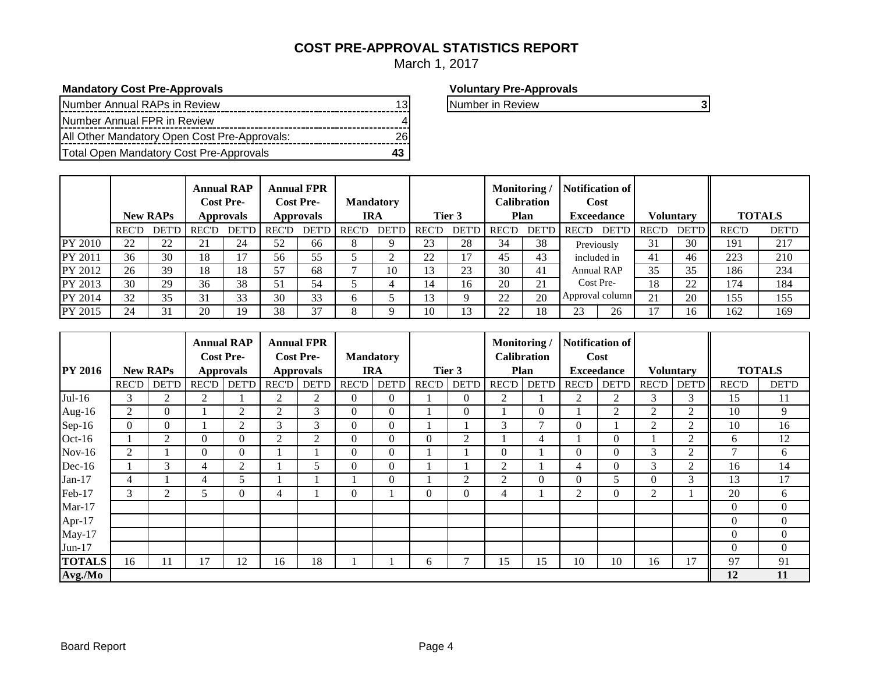## **COST PRE-APPROVAL STATISTICS REPORT**

March 1, 2017

## **Mandatory Cost Pre-Approvals Voluntary Pre-Approvals**

| Number Annual RAPs in Review                 |  |
|----------------------------------------------|--|
| Number Annual FPR in Review                  |  |
| All Other Mandatory Open Cost Pre-Approvals: |  |
| Total Open Mandatory Cost Pre-Approvals      |  |

| Number in Review |  |
|------------------|--|

|                |              | <b>New RAPs</b> |              | <b>Annual RAP</b><br><b>Cost Pre-</b><br>Approvals |              | <b>Annual FPR</b><br><b>Cost Pre-</b><br><b>Approvals</b> |              | <b>Mandatory</b><br>IRA |              | Tier 3       | Monitoring / | <b>Calibration</b><br>Plan | <b>Notification of</b><br>Cost<br><b>Exceedance</b> |              | Voluntarv    |              | <b>TOTALS</b> |
|----------------|--------------|-----------------|--------------|----------------------------------------------------|--------------|-----------------------------------------------------------|--------------|-------------------------|--------------|--------------|--------------|----------------------------|-----------------------------------------------------|--------------|--------------|--------------|---------------|
|                | <b>REC'D</b> | <b>DET'D</b>    | <b>REC'D</b> | <b>DET'D</b>                                       | <b>REC'D</b> | <b>DET'D</b>                                              | <b>REC'D</b> | <b>DET'D</b>            | <b>REC'D</b> | <b>DET'D</b> | <b>REC'D</b> | <b>DET'D</b>               | <b>DET'D</b><br>REC'D                               | <b>REC'D</b> | <b>DET'D</b> | <b>REC'D</b> | <b>DET'D</b>  |
| <b>PY 2010</b> | 22           | 22              | 21           | 24                                                 | 52           | 66                                                        | $\circ$      |                         | 23           | 28           | 34           | 38                         | Previously                                          | 31           | 30           | 191          | 217           |
| <b>PY 2011</b> | 36           | 30              | 18           | 17                                                 | 56           | 55                                                        |              |                         | 22           | 17           | 45           | 43                         | included in                                         | 41           | 46           | 223          | 210           |
| <b>PY 2012</b> | 26           | 39              | 18           | 18                                                 | 57           | 68                                                        |              | 10                      | 13           | 23           | 30           | 41                         | <b>Annual RAP</b>                                   | 35           | 35           | 186          | 234           |
| PY 2013        | 30           | 29              | 36           | 38                                                 | 51           | 54                                                        |              |                         | 14           | 16           | 20           | 21                         | Cost Pre-                                           | 18           | 22           | 174          | 184           |
| <b>PY 2014</b> | 32           | 35              | 31           | 33                                                 | 30           | 33                                                        | <sub>0</sub> |                         | 13           | 9            | 22           | 20                         | Approval column                                     | 21           | 20           | 155          | 155           |
| PY 2015        | 24           | 31              | 20           | 19                                                 | 38           | 37                                                        | 8            |                         | 10           | 13           | 22           | 18                         | 26<br>23                                            |              | 16           | 162          | 169           |

|                |                |                 |                | <b>Annual RAP</b> |              | <b>Annual FPR</b> |                |                  |             |                | Monitoring/    |                    |                   | <b>Notification of</b>  |                  |                |                 |                |
|----------------|----------------|-----------------|----------------|-------------------|--------------|-------------------|----------------|------------------|-------------|----------------|----------------|--------------------|-------------------|-------------------------|------------------|----------------|-----------------|----------------|
|                |                |                 |                | <b>Cost Pre-</b>  |              | <b>Cost Pre-</b>  |                | <b>Mandatory</b> |             |                |                | <b>Calibration</b> |                   | Cost                    |                  |                |                 |                |
| <b>PY 2016</b> |                | <b>New RAPs</b> |                | <b>Approvals</b>  |              | <b>Approvals</b>  |                | <b>IRA</b>       | Tier 3      |                | Plan           |                    | <b>Exceedance</b> |                         | <b>Voluntary</b> |                | <b>TOTALS</b>   |                |
|                | <b>REC'D</b>   | <b>DET'D</b>    | REC'D          | <b>DET'D</b>      | <b>REC'D</b> | <b>DET'D</b>      | <b>REC'D</b>   |                  | DET'D REC'D | <b>DET'D</b>   | REC'D          | <b>DET'D</b>       | REC'D             | <b>DET'D</b>            | REC'D            | <b>DET'D</b>   | <b>REC'D</b>    | <b>DET'D</b>   |
| $Jul-16$       | 3              | 2               | $\overline{2}$ |                   | 2            | 2                 | $\Omega$       | $\Omega$         |             | $\Omega$       | 2              |                    | 2                 | 2                       | 3                | 3              | 15              | 11             |
| Aug-16         | 2              | $\overline{0}$  |                | 2                 | 2            | 3                 | $\overline{0}$ | $\overline{0}$   |             | $\overline{0}$ |                | 0                  |                   | 2                       | 2                | $\overline{2}$ | 10              | 9              |
| $Sep-16$       | 0              | $\overline{0}$  |                | 2                 | 3            | 3                 | $\theta$       | $\Omega$         |             |                | 3              | ⇁                  | $\Omega$          |                         | $\overline{c}$   | $\overline{2}$ | 10              | 16             |
| $Oct-16$       |                | 2               | $\Omega$       | $\overline{0}$    | 2            | $\overline{c}$    | $\theta$       | $\Omega$         | $\Omega$    | $\overline{2}$ |                | 4                  |                   | $\theta$                |                  | 2              | 6               | 12             |
| $Nov-16$       | $\overline{2}$ |                 | $\Omega$       | $\overline{0}$    |              |                   | $\Omega$       | $\Omega$         |             |                | $\overline{0}$ |                    | $\Omega$          | $\Omega$                | 3                | $\overline{2}$ | $\mathbf{\tau}$ | 6              |
| $Dec-16$       |                | 3               | $\overline{4}$ | $\overline{2}$    |              | 5                 | $\theta$       | $\overline{0}$   |             |                | $\overline{2}$ |                    | 4                 | $\theta$                | 3                | $\overline{2}$ | 16              | 14             |
| $Jan-17$       | 4              |                 | $\overline{4}$ | 5                 |              |                   |                | $\Omega$         |             | $\overline{2}$ | $\overline{2}$ | 0                  | $\Omega$          | $\overline{\mathbf{5}}$ | 0                | 3              | 13              | 17             |
| Feb-17         | 3              | 2               | 5              | $\Omega$          | 4            |                   | $\Omega$       |                  | $\Omega$    | $\theta$       | $\overline{4}$ |                    | $\overline{2}$    | $\Omega$                | 2                |                | 20              | 6              |
| $Mar-17$       |                |                 |                |                   |              |                   |                |                  |             |                |                |                    |                   |                         |                  |                | $\theta$        | $\overline{0}$ |
| Apr-17         |                |                 |                |                   |              |                   |                |                  |             |                |                |                    |                   |                         |                  |                | $\Omega$        | $\overline{0}$ |
| $May-17$       |                |                 |                |                   |              |                   |                |                  |             |                |                |                    |                   |                         |                  |                | $\theta$        | $\overline{0}$ |
| $Jun-17$       |                |                 |                |                   |              |                   |                |                  |             |                |                |                    |                   |                         |                  |                | $\Omega$        | $\overline{0}$ |
| <b>TOTALS</b>  | 16             | 11              | 17             | 12                | 16           | 18                |                |                  | 6           | $\overline{ }$ | 15             | 15                 | 10                | 10                      | 16               | 17             | 97              | 91             |
| Avg./Mo        |                |                 |                |                   |              |                   |                |                  |             |                |                |                    |                   |                         |                  |                | 12              | 11             |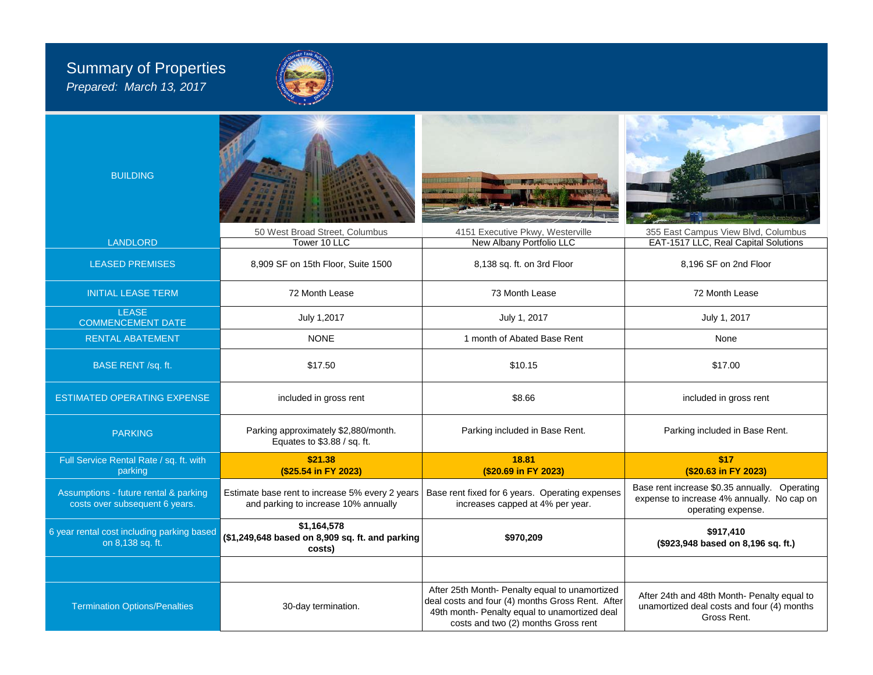## Summary of Properties *Prepared: March 13, 2017*



| <b>BUILDING</b>                                                         | 50 West Broad Street, Columbus                                                          | 4151 Executive Pkwy, Westerville                                                                                                                                                           | 355 East Campus View Blvd, Columbus                                                                               |  |  |  |  |
|-------------------------------------------------------------------------|-----------------------------------------------------------------------------------------|--------------------------------------------------------------------------------------------------------------------------------------------------------------------------------------------|-------------------------------------------------------------------------------------------------------------------|--|--|--|--|
| <b>LANDLORD</b>                                                         | Tower 10 LLC                                                                            | New Albany Portfolio LLC                                                                                                                                                                   | EAT-1517 LLC, Real Capital Solutions                                                                              |  |  |  |  |
| <b>LEASED PREMISES</b>                                                  | 8,909 SF on 15th Floor, Suite 1500                                                      | 8,138 sq. ft. on 3rd Floor                                                                                                                                                                 | 8,196 SF on 2nd Floor                                                                                             |  |  |  |  |
| <b>INITIAL LEASE TERM</b>                                               | 72 Month Lease                                                                          | 73 Month Lease                                                                                                                                                                             | 72 Month Lease                                                                                                    |  |  |  |  |
| <b>LEASE</b><br><b>COMMENCEMENT DATE</b>                                | July 1,2017                                                                             | July 1, 2017                                                                                                                                                                               | July 1, 2017                                                                                                      |  |  |  |  |
| <b>RENTAL ABATEMENT</b>                                                 | <b>NONE</b>                                                                             | 1 month of Abated Base Rent                                                                                                                                                                | None                                                                                                              |  |  |  |  |
| BASE RENT /sq. ft.                                                      | \$17.50                                                                                 | \$10.15                                                                                                                                                                                    | \$17.00                                                                                                           |  |  |  |  |
| <b>ESTIMATED OPERATING EXPENSE</b>                                      | included in gross rent                                                                  | \$8.66                                                                                                                                                                                     | included in gross rent                                                                                            |  |  |  |  |
| <b>PARKING</b>                                                          | Parking approximately \$2,880/month.<br>Equates to \$3.88 / sq. ft.                     | Parking included in Base Rent.                                                                                                                                                             | Parking included in Base Rent.                                                                                    |  |  |  |  |
| Full Service Rental Rate / sq. ft. with<br>parking                      | \$21.38<br>(\$25.54 in FY 2023)                                                         | 18.81<br>(\$20.69 in FY 2023)                                                                                                                                                              | \$17<br>(\$20.63 in FY 2023)                                                                                      |  |  |  |  |
| Assumptions - future rental & parking<br>costs over subsequent 6 years. | Estimate base rent to increase 5% every 2 years<br>and parking to increase 10% annually | Base rent fixed for 6 years. Operating expenses<br>increases capped at 4% per year.                                                                                                        | Base rent increase \$0.35 annually. Operating<br>expense to increase 4% annually. No cap on<br>operating expense. |  |  |  |  |
| 6 year rental cost including parking based<br>on 8,138 sq. ft.          | \$1,164,578<br>(\$1,249,648 based on 8,909 sq. ft. and parking<br>costs)                | \$970,209                                                                                                                                                                                  | \$917,410<br>(\$923,948 based on 8,196 sq. ft.)                                                                   |  |  |  |  |
|                                                                         |                                                                                         |                                                                                                                                                                                            |                                                                                                                   |  |  |  |  |
| <b>Termination Options/Penalties</b>                                    | 30-day termination.                                                                     | After 25th Month- Penalty equal to unamortized<br>deal costs and four (4) months Gross Rent. After<br>49th month- Penalty equal to unamortized deal<br>costs and two (2) months Gross rent | After 24th and 48th Month- Penalty equal to<br>unamortized deal costs and four (4) months<br>Gross Rent.          |  |  |  |  |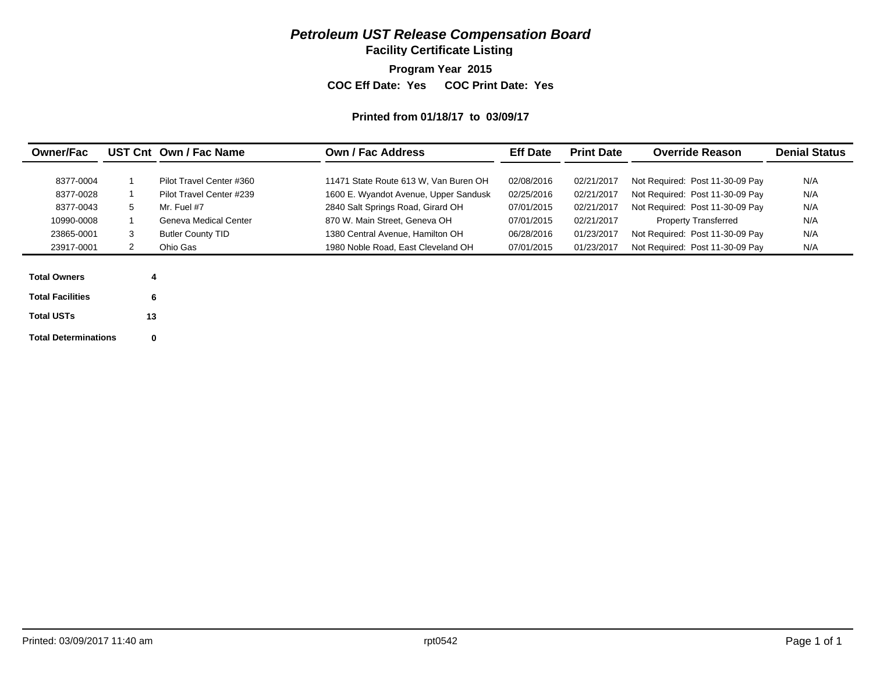## *Petroleum UST Release Compensation Board*

**Facility Certificate Listing**

**Program Year 2015**

**COC Eff Date: Yes COC Print Date: Yes** 

#### **Printed from 01/18/17 to 03/09/17**

| <b>Owner/Fac</b>        |    | UST Cnt Own / Fac Name   | <b>Own / Fac Address</b>              | <b>Eff Date</b> | <b>Print Date</b> | <b>Override Reason</b>          | <b>Denial Status</b> |
|-------------------------|----|--------------------------|---------------------------------------|-----------------|-------------------|---------------------------------|----------------------|
| 8377-0004               |    | Pilot Travel Center #360 | 11471 State Route 613 W, Van Buren OH | 02/08/2016      | 02/21/2017        | Not Required: Post 11-30-09 Pay | N/A                  |
| 8377-0028               |    | Pilot Travel Center #239 | 1600 E. Wyandot Avenue, Upper Sandusk | 02/25/2016      | 02/21/2017        | Not Required: Post 11-30-09 Pay | N/A                  |
| 8377-0043               | 5  | Mr. Fuel #7              | 2840 Salt Springs Road, Girard OH     | 07/01/2015      | 02/21/2017        | Not Required: Post 11-30-09 Pay | N/A                  |
| 10990-0008              |    | Geneva Medical Center    | 870 W. Main Street, Geneva OH         | 07/01/2015      | 02/21/2017        | <b>Property Transferred</b>     | N/A                  |
| 23865-0001              | 3  | <b>Butler County TID</b> | 1380 Central Avenue, Hamilton OH      | 06/28/2016      | 01/23/2017        | Not Required: Post 11-30-09 Pay | N/A                  |
| 23917-0001              | 2  | Ohio Gas                 | 1980 Noble Road. East Cleveland OH    | 07/01/2015      | 01/23/2017        | Not Required: Post 11-30-09 Pay | N/A                  |
| <b>Total Owners</b>     | 4  |                          |                                       |                 |                   |                                 |                      |
| <b>Total Facilities</b> | 6  |                          |                                       |                 |                   |                                 |                      |
| <b>Total USTs</b>       | 13 |                          |                                       |                 |                   |                                 |                      |
|                         |    |                          |                                       |                 |                   |                                 |                      |

**Total Determinations0**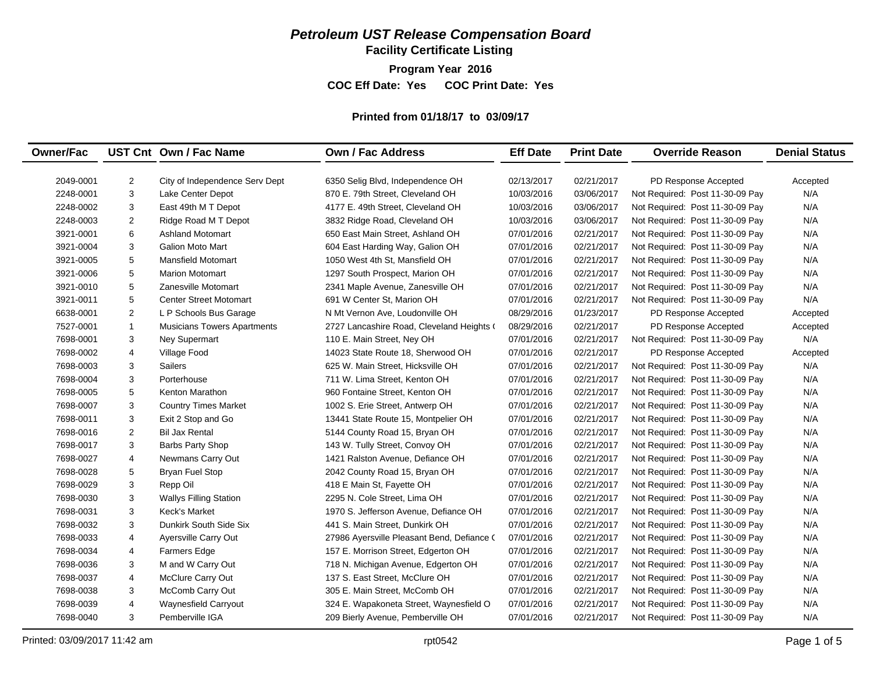## *Petroleum UST Release Compensation Board*

**Facility Certificate Listing**

**Program Year 2016 COC Eff Date: Yes COC Print Date: Yes** 

## **Printed from 01/18/17 to 03/09/17**

| <b>Owner/Fac</b> |                | UST Cnt Own / Fac Name             | <b>Own / Fac Address</b>                   | <b>Eff Date</b> | <b>Print Date</b> | <b>Override Reason</b>          | <b>Denial Status</b> |
|------------------|----------------|------------------------------------|--------------------------------------------|-----------------|-------------------|---------------------------------|----------------------|
|                  |                |                                    |                                            |                 |                   |                                 |                      |
| 2049-0001        | $\overline{c}$ | City of Independence Serv Dept     | 6350 Selig Blvd, Independence OH           | 02/13/2017      | 02/21/2017        | PD Response Accepted            | Accepted             |
| 2248-0001        | 3              | Lake Center Depot                  | 870 E. 79th Street, Cleveland OH           | 10/03/2016      | 03/06/2017        | Not Required: Post 11-30-09 Pay | N/A                  |
| 2248-0002        | 3              | East 49th M T Depot                | 4177 E. 49th Street. Cleveland OH          | 10/03/2016      | 03/06/2017        | Not Required: Post 11-30-09 Pay | N/A                  |
| 2248-0003        | $\overline{c}$ | Ridge Road M T Depot               | 3832 Ridge Road, Cleveland OH              | 10/03/2016      | 03/06/2017        | Not Required: Post 11-30-09 Pay | N/A                  |
| 3921-0001        | 6              | <b>Ashland Motomart</b>            | 650 East Main Street, Ashland OH           | 07/01/2016      | 02/21/2017        | Not Required: Post 11-30-09 Pay | N/A                  |
| 3921-0004        | 3              | <b>Galion Moto Mart</b>            | 604 East Harding Way, Galion OH            | 07/01/2016      | 02/21/2017        | Not Required: Post 11-30-09 Pay | N/A                  |
| 3921-0005        | 5              | <b>Mansfield Motomart</b>          | 1050 West 4th St. Mansfield OH             | 07/01/2016      | 02/21/2017        | Not Required: Post 11-30-09 Pay | N/A                  |
| 3921-0006        | 5              | <b>Marion Motomart</b>             | 1297 South Prospect, Marion OH             | 07/01/2016      | 02/21/2017        | Not Required: Post 11-30-09 Pay | N/A                  |
| 3921-0010        | 5              | Zanesville Motomart                | 2341 Maple Avenue, Zanesville OH           | 07/01/2016      | 02/21/2017        | Not Required: Post 11-30-09 Pay | N/A                  |
| 3921-0011        | 5              | <b>Center Street Motomart</b>      | 691 W Center St, Marion OH                 | 07/01/2016      | 02/21/2017        | Not Required: Post 11-30-09 Pay | N/A                  |
| 6638-0001        | $\mathbf{2}$   | L P Schools Bus Garage             | N Mt Vernon Ave, Loudonville OH            | 08/29/2016      | 01/23/2017        | PD Response Accepted            | Accepted             |
| 7527-0001        | $\mathbf{1}$   | <b>Musicians Towers Apartments</b> | 2727 Lancashire Road, Cleveland Heights (  | 08/29/2016      | 02/21/2017        | PD Response Accepted            | Accepted             |
| 7698-0001        | 3              | Ney Supermart                      | 110 E. Main Street, Ney OH                 | 07/01/2016      | 02/21/2017        | Not Required: Post 11-30-09 Pay | N/A                  |
| 7698-0002        | 4              | Village Food                       | 14023 State Route 18, Sherwood OH          | 07/01/2016      | 02/21/2017        | PD Response Accepted            | Accepted             |
| 7698-0003        | 3              | <b>Sailers</b>                     | 625 W. Main Street. Hicksville OH          | 07/01/2016      | 02/21/2017        | Not Required: Post 11-30-09 Pay | N/A                  |
| 7698-0004        | 3              | Porterhouse                        | 711 W. Lima Street, Kenton OH              | 07/01/2016      | 02/21/2017        | Not Required: Post 11-30-09 Pay | N/A                  |
| 7698-0005        | 5              | Kenton Marathon                    | 960 Fontaine Street, Kenton OH             | 07/01/2016      | 02/21/2017        | Not Required: Post 11-30-09 Pay | N/A                  |
| 7698-0007        | 3              | <b>Country Times Market</b>        | 1002 S. Erie Street, Antwerp OH            | 07/01/2016      | 02/21/2017        | Not Required: Post 11-30-09 Pay | N/A                  |
| 7698-0011        | 3              | Exit 2 Stop and Go                 | 13441 State Route 15, Montpelier OH        | 07/01/2016      | 02/21/2017        | Not Required: Post 11-30-09 Pay | N/A                  |
| 7698-0016        | 2              | <b>Bil Jax Rental</b>              | 5144 County Road 15, Bryan OH              | 07/01/2016      | 02/21/2017        | Not Required: Post 11-30-09 Pay | N/A                  |
| 7698-0017        | 3              | <b>Barbs Party Shop</b>            | 143 W. Tully Street, Convoy OH             | 07/01/2016      | 02/21/2017        | Not Required: Post 11-30-09 Pay | N/A                  |
| 7698-0027        | $\overline{4}$ | Newmans Carry Out                  | 1421 Ralston Avenue, Defiance OH           | 07/01/2016      | 02/21/2017        | Not Required: Post 11-30-09 Pay | N/A                  |
| 7698-0028        | 5              | <b>Bryan Fuel Stop</b>             | 2042 County Road 15, Bryan OH              | 07/01/2016      | 02/21/2017        | Not Required: Post 11-30-09 Pay | N/A                  |
| 7698-0029        | 3              | Repp Oil                           | 418 E Main St, Fayette OH                  | 07/01/2016      | 02/21/2017        | Not Required: Post 11-30-09 Pay | N/A                  |
| 7698-0030        | 3              | <b>Wallys Filling Station</b>      | 2295 N. Cole Street, Lima OH               | 07/01/2016      | 02/21/2017        | Not Required: Post 11-30-09 Pay | N/A                  |
| 7698-0031        | 3              | Keck's Market                      | 1970 S. Jefferson Avenue, Defiance OH      | 07/01/2016      | 02/21/2017        | Not Required: Post 11-30-09 Pay | N/A                  |
| 7698-0032        | 3              | Dunkirk South Side Six             | 441 S. Main Street, Dunkirk OH             | 07/01/2016      | 02/21/2017        | Not Required: Post 11-30-09 Pay | N/A                  |
| 7698-0033        | 4              | Ayersville Carry Out               | 27986 Ayersville Pleasant Bend, Defiance ( | 07/01/2016      | 02/21/2017        | Not Required: Post 11-30-09 Pay | N/A                  |
| 7698-0034        | 4              | Farmers Edge                       | 157 E. Morrison Street, Edgerton OH        | 07/01/2016      | 02/21/2017        | Not Required: Post 11-30-09 Pay | N/A                  |
| 7698-0036        | 3              | M and W Carry Out                  | 718 N. Michigan Avenue, Edgerton OH        | 07/01/2016      | 02/21/2017        | Not Required: Post 11-30-09 Pay | N/A                  |
| 7698-0037        | 4              | McClure Carry Out                  | 137 S. East Street, McClure OH             | 07/01/2016      | 02/21/2017        | Not Required: Post 11-30-09 Pay | N/A                  |
| 7698-0038        | 3              | McComb Carry Out                   | 305 E. Main Street, McComb OH              | 07/01/2016      | 02/21/2017        | Not Required: Post 11-30-09 Pay | N/A                  |
| 7698-0039        | 4              | Waynesfield Carryout               | 324 E. Wapakoneta Street, Waynesfield O    | 07/01/2016      | 02/21/2017        | Not Required: Post 11-30-09 Pay | N/A                  |
| 7698-0040        | 3              | Pemberville IGA                    | 209 Bierly Avenue, Pemberville OH          | 07/01/2016      | 02/21/2017        | Not Required: Post 11-30-09 Pay | N/A                  |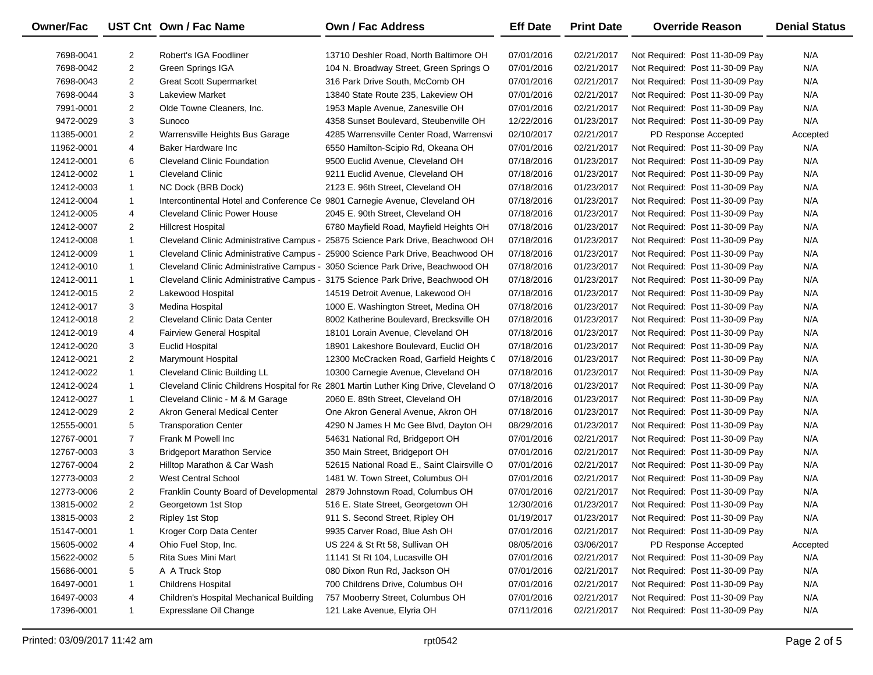| Owner/Fac  |                | UST Cnt Own / Fac Name                                                                                             | <b>Own / Fac Address</b>                                                              | <b>Eff Date</b> | <b>Print Date</b> | <b>Override Reason</b>          | <b>Denial Status</b> |
|------------|----------------|--------------------------------------------------------------------------------------------------------------------|---------------------------------------------------------------------------------------|-----------------|-------------------|---------------------------------|----------------------|
| 7698-0041  | $\overline{2}$ | Robert's IGA Foodliner                                                                                             | 13710 Deshler Road. North Baltimore OH                                                | 07/01/2016      | 02/21/2017        | Not Required: Post 11-30-09 Pay | N/A                  |
| 7698-0042  | $\overline{2}$ | <b>Green Springs IGA</b>                                                                                           | 104 N. Broadway Street, Green Springs O                                               | 07/01/2016      | 02/21/2017        | Not Required: Post 11-30-09 Pay | N/A                  |
| 7698-0043  | $\overline{2}$ | <b>Great Scott Supermarket</b>                                                                                     | 316 Park Drive South, McComb OH                                                       | 07/01/2016      | 02/21/2017        | Not Required: Post 11-30-09 Pay | N/A                  |
| 7698-0044  | 3              | <b>Lakeview Market</b>                                                                                             | 13840 State Route 235, Lakeview OH                                                    | 07/01/2016      | 02/21/2017        | Not Required: Post 11-30-09 Pay | N/A                  |
| 7991-0001  | 2              | Olde Towne Cleaners, Inc.                                                                                          | 1953 Maple Avenue, Zanesville OH                                                      | 07/01/2016      | 02/21/2017        | Not Required: Post 11-30-09 Pay | N/A                  |
| 9472-0029  | 3              | Sunoco                                                                                                             | 4358 Sunset Boulevard, Steubenville OH                                                | 12/22/2016      | 01/23/2017        | Not Required: Post 11-30-09 Pay | N/A                  |
| 11385-0001 | $\overline{2}$ | Warrensville Heights Bus Garage                                                                                    | 4285 Warrensville Center Road, Warrensvi                                              | 02/10/2017      | 02/21/2017        | PD Response Accepted            | Accepted             |
| 11962-0001 | 4              | Baker Hardware Inc                                                                                                 | 6550 Hamilton-Scipio Rd, Okeana OH                                                    | 07/01/2016      | 02/21/2017        | Not Required: Post 11-30-09 Pay | N/A                  |
| 12412-0001 | 6              | <b>Cleveland Clinic Foundation</b>                                                                                 | 9500 Euclid Avenue, Cleveland OH                                                      | 07/18/2016      | 01/23/2017        | Not Required: Post 11-30-09 Pay | N/A                  |
| 12412-0002 | $\mathbf{1}$   | <b>Cleveland Clinic</b>                                                                                            | 9211 Euclid Avenue, Cleveland OH                                                      | 07/18/2016      | 01/23/2017        | Not Required: Post 11-30-09 Pay | N/A                  |
|            | $\mathbf{1}$   | NC Dock (BRB Dock)                                                                                                 | 2123 E. 96th Street, Cleveland OH                                                     | 07/18/2016      | 01/23/2017        |                                 | N/A                  |
| 12412-0003 | $\mathbf{1}$   |                                                                                                                    |                                                                                       | 07/18/2016      | 01/23/2017        | Not Required: Post 11-30-09 Pay | N/A                  |
| 12412-0004 | 4              | Intercontinental Hotel and Conference Ce 9801 Carnegie Avenue, Cleveland OH<br><b>Cleveland Clinic Power House</b> | 2045 E. 90th Street, Cleveland OH                                                     | 07/18/2016      | 01/23/2017        | Not Required: Post 11-30-09 Pay | N/A                  |
| 12412-0005 |                |                                                                                                                    |                                                                                       |                 |                   | Not Required: Post 11-30-09 Pay |                      |
| 12412-0007 | $\overline{2}$ | <b>Hillcrest Hospital</b>                                                                                          | 6780 Mayfield Road, Mayfield Heights OH                                               | 07/18/2016      | 01/23/2017        | Not Required: Post 11-30-09 Pay | N/A                  |
| 12412-0008 | $\mathbf{1}$   | Cleveland Clinic Administrative Campus -                                                                           | 25875 Science Park Drive, Beachwood OH                                                | 07/18/2016      | 01/23/2017        | Not Required: Post 11-30-09 Pay | N/A                  |
| 12412-0009 | $\mathbf{1}$   | Cleveland Clinic Administrative Campus -                                                                           | 25900 Science Park Drive, Beachwood OH                                                | 07/18/2016      | 01/23/2017        | Not Required: Post 11-30-09 Pay | N/A                  |
| 12412-0010 | $\mathbf{1}$   |                                                                                                                    | Cleveland Clinic Administrative Campus - 3050 Science Park Drive, Beachwood OH        | 07/18/2016      | 01/23/2017        | Not Required: Post 11-30-09 Pay | N/A                  |
| 12412-0011 | $\mathbf{1}$   |                                                                                                                    | Cleveland Clinic Administrative Campus - 3175 Science Park Drive, Beachwood OH        | 07/18/2016      | 01/23/2017        | Not Required: Post 11-30-09 Pay | N/A                  |
| 12412-0015 | $\overline{2}$ | Lakewood Hospital                                                                                                  | 14519 Detroit Avenue, Lakewood OH                                                     | 07/18/2016      | 01/23/2017        | Not Required: Post 11-30-09 Pay | N/A                  |
| 12412-0017 | 3              | Medina Hospital                                                                                                    | 1000 E. Washington Street, Medina OH                                                  | 07/18/2016      | 01/23/2017        | Not Required: Post 11-30-09 Pay | N/A                  |
| 12412-0018 | $\overline{2}$ | <b>Cleveland Clinic Data Center</b>                                                                                | 8002 Katherine Boulevard, Brecksville OH                                              | 07/18/2016      | 01/23/2017        | Not Required: Post 11-30-09 Pay | N/A                  |
| 12412-0019 | 4              | Fairview General Hospital                                                                                          | 18101 Lorain Avenue, Cleveland OH                                                     | 07/18/2016      | 01/23/2017        | Not Required: Post 11-30-09 Pay | N/A                  |
| 12412-0020 | 3              | <b>Euclid Hospital</b>                                                                                             | 18901 Lakeshore Boulevard, Euclid OH                                                  | 07/18/2016      | 01/23/2017        | Not Required: Post 11-30-09 Pay | N/A                  |
| 12412-0021 | $\overline{2}$ | <b>Marymount Hospital</b>                                                                                          | 12300 McCracken Road, Garfield Heights C                                              | 07/18/2016      | 01/23/2017        | Not Required: Post 11-30-09 Pay | N/A                  |
| 12412-0022 | $\mathbf{1}$   | <b>Cleveland Clinic Building LL</b>                                                                                | 10300 Carnegie Avenue, Cleveland OH                                                   | 07/18/2016      | 01/23/2017        | Not Required: Post 11-30-09 Pay | N/A                  |
| 12412-0024 | $\mathbf{1}$   |                                                                                                                    | Cleveland Clinic Childrens Hospital for Re 2801 Martin Luther King Drive, Cleveland O | 07/18/2016      | 01/23/2017        | Not Required: Post 11-30-09 Pay | N/A                  |
| 12412-0027 | $\mathbf{1}$   | Cleveland Clinic - M & M Garage                                                                                    | 2060 E. 89th Street, Cleveland OH                                                     | 07/18/2016      | 01/23/2017        | Not Required: Post 11-30-09 Pay | N/A                  |
| 12412-0029 | $\overline{2}$ | Akron General Medical Center                                                                                       | One Akron General Avenue, Akron OH                                                    | 07/18/2016      | 01/23/2017        | Not Required: Post 11-30-09 Pay | N/A                  |
| 12555-0001 | 5              | <b>Transporation Center</b>                                                                                        | 4290 N James H Mc Gee Blvd, Dayton OH                                                 | 08/29/2016      | 01/23/2017        | Not Required: Post 11-30-09 Pay | N/A                  |
| 12767-0001 | $\overline{7}$ | Frank M Powell Inc.                                                                                                | 54631 National Rd, Bridgeport OH                                                      | 07/01/2016      | 02/21/2017        | Not Required: Post 11-30-09 Pay | N/A                  |
| 12767-0003 | 3              | <b>Bridgeport Marathon Service</b>                                                                                 | 350 Main Street, Bridgeport OH                                                        | 07/01/2016      | 02/21/2017        | Not Required: Post 11-30-09 Pay | N/A                  |
| 12767-0004 | $\overline{2}$ | Hilltop Marathon & Car Wash                                                                                        | 52615 National Road E., Saint Clairsville O                                           | 07/01/2016      | 02/21/2017        | Not Required: Post 11-30-09 Pay | N/A                  |
| 12773-0003 | $\overline{2}$ | <b>West Central School</b>                                                                                         | 1481 W. Town Street, Columbus OH                                                      | 07/01/2016      | 02/21/2017        | Not Required: Post 11-30-09 Pay | N/A                  |
| 12773-0006 | $\overline{2}$ | Franklin County Board of Developmental                                                                             | 2879 Johnstown Road, Columbus OH                                                      | 07/01/2016      | 02/21/2017        | Not Required: Post 11-30-09 Pay | N/A                  |
| 13815-0002 | $\overline{2}$ | Georgetown 1st Stop                                                                                                | 516 E. State Street, Georgetown OH                                                    | 12/30/2016      | 01/23/2017        | Not Required: Post 11-30-09 Pay | N/A                  |
| 13815-0003 | 2              | Ripley 1st Stop                                                                                                    | 911 S. Second Street, Ripley OH                                                       | 01/19/2017      | 01/23/2017        | Not Required: Post 11-30-09 Pay | N/A                  |
| 15147-0001 | 1              | Kroger Corp Data Center                                                                                            | 9935 Carver Road, Blue Ash OH                                                         | 07/01/2016      | 02/21/2017        | Not Required: Post 11-30-09 Pay | N/A                  |
| 15605-0002 | 4              | Ohio Fuel Stop, Inc.                                                                                               | US 224 & St Rt 58, Sullivan OH                                                        | 08/05/2016      | 03/06/2017        | PD Response Accepted            | Accepted             |
| 15622-0002 | 5              | Rita Sues Mini Mart                                                                                                | 11141 St Rt 104, Lucasville OH                                                        | 07/01/2016      | 02/21/2017        | Not Required: Post 11-30-09 Pay | N/A                  |
| 15686-0001 | 5              | A A Truck Stop                                                                                                     | 080 Dixon Run Rd, Jackson OH                                                          | 07/01/2016      | 02/21/2017        | Not Required: Post 11-30-09 Pay | N/A                  |
| 16497-0001 | 1              | <b>Childrens Hospital</b>                                                                                          | 700 Childrens Drive, Columbus OH                                                      | 07/01/2016      | 02/21/2017        | Not Required: Post 11-30-09 Pay | N/A                  |
| 16497-0003 | 4              | Children's Hospital Mechanical Building                                                                            | 757 Mooberry Street, Columbus OH                                                      | 07/01/2016      | 02/21/2017        | Not Required: Post 11-30-09 Pay | N/A                  |
| 17396-0001 | 1              | Expresslane Oil Change                                                                                             | 121 Lake Avenue, Elyria OH                                                            | 07/11/2016      | 02/21/2017        | Not Required: Post 11-30-09 Pay | N/A                  |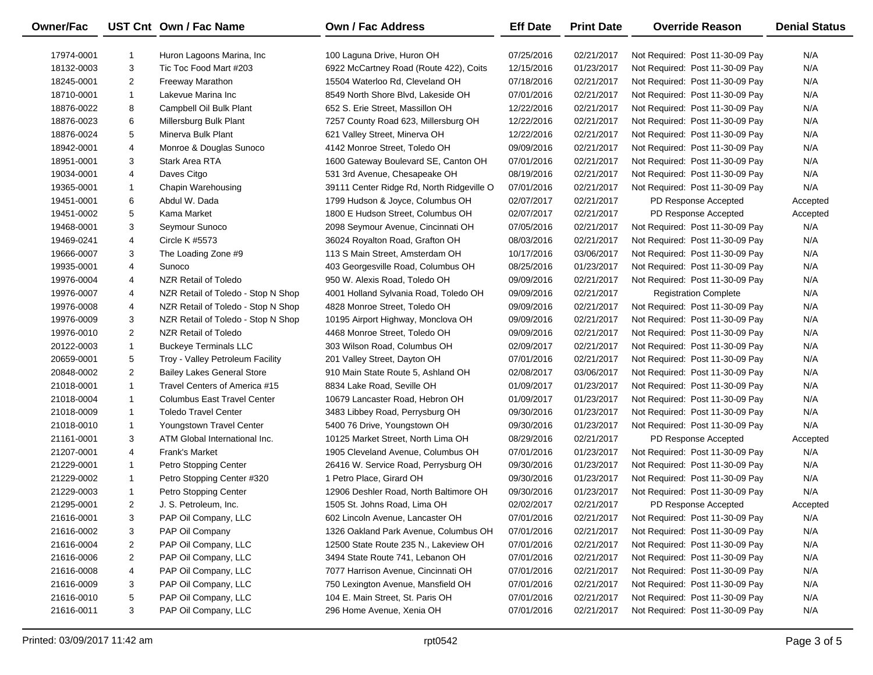| Owner/Fac  |                | UST Cnt Own / Fac Name             | <b>Own / Fac Address</b>                  | <b>Eff Date</b> | <b>Print Date</b> | <b>Override Reason</b>          | <b>Denial Status</b> |
|------------|----------------|------------------------------------|-------------------------------------------|-----------------|-------------------|---------------------------------|----------------------|
| 17974-0001 | -1             | Huron Lagoons Marina, Inc.         | 100 Laguna Drive, Huron OH                | 07/25/2016      | 02/21/2017        | Not Required: Post 11-30-09 Pay | N/A                  |
| 18132-0003 | 3              | Tic Toc Food Mart #203             | 6922 McCartney Road (Route 422), Coits    | 12/15/2016      | 01/23/2017        | Not Required: Post 11-30-09 Pay | N/A                  |
| 18245-0001 | $\overline{2}$ | <b>Freeway Marathon</b>            | 15504 Waterloo Rd, Cleveland OH           | 07/18/2016      | 02/21/2017        | Not Required: Post 11-30-09 Pay | N/A                  |
| 18710-0001 | $\mathbf{1}$   | Lakevue Marina Inc                 | 8549 North Shore Blvd, Lakeside OH        | 07/01/2016      | 02/21/2017        | Not Required: Post 11-30-09 Pay | N/A                  |
| 18876-0022 | 8              | Campbell Oil Bulk Plant            | 652 S. Erie Street, Massillon OH          | 12/22/2016      | 02/21/2017        | Not Required: Post 11-30-09 Pay | N/A                  |
| 18876-0023 | 6              | Millersburg Bulk Plant             | 7257 County Road 623, Millersburg OH      | 12/22/2016      | 02/21/2017        | Not Required: Post 11-30-09 Pay | N/A                  |
| 18876-0024 | 5              | Minerva Bulk Plant                 | 621 Valley Street, Minerva OH             | 12/22/2016      | 02/21/2017        | Not Required: Post 11-30-09 Pay | N/A                  |
| 18942-0001 | 4              | Monroe & Douglas Sunoco            | 4142 Monroe Street, Toledo OH             | 09/09/2016      | 02/21/2017        | Not Required: Post 11-30-09 Pay | N/A                  |
| 18951-0001 | 3              | Stark Area RTA                     | 1600 Gateway Boulevard SE, Canton OH      | 07/01/2016      | 02/21/2017        | Not Required: Post 11-30-09 Pay | N/A                  |
| 19034-0001 | 4              | Daves Citgo                        | 531 3rd Avenue, Chesapeake OH             | 08/19/2016      | 02/21/2017        | Not Required: Post 11-30-09 Pay | N/A                  |
| 19365-0001 | 1              | Chapin Warehousing                 | 39111 Center Ridge Rd, North Ridgeville O | 07/01/2016      | 02/21/2017        | Not Required: Post 11-30-09 Pay | N/A                  |
| 19451-0001 | 6              | Abdul W. Dada                      | 1799 Hudson & Joyce, Columbus OH          | 02/07/2017      | 02/21/2017        | PD Response Accepted            | Accepted             |
| 19451-0002 | 5              | Kama Market                        | 1800 E Hudson Street, Columbus OH         | 02/07/2017      | 02/21/2017        | PD Response Accepted            | Accepted             |
| 19468-0001 | 3              | Seymour Sunoco                     | 2098 Seymour Avenue, Cincinnati OH        | 07/05/2016      | 02/21/2017        | Not Required: Post 11-30-09 Pay | N/A                  |
| 19469-0241 | 4              | Circle K #5573                     | 36024 Royalton Road, Grafton OH           | 08/03/2016      | 02/21/2017        | Not Required: Post 11-30-09 Pay | N/A                  |
| 19666-0007 | 3              | The Loading Zone #9                | 113 S Main Street, Amsterdam OH           | 10/17/2016      | 03/06/2017        | Not Required: Post 11-30-09 Pay | N/A                  |
| 19935-0001 | 4              | Sunoco                             | 403 Georgesville Road, Columbus OH        | 08/25/2016      | 01/23/2017        | Not Required: Post 11-30-09 Pay | N/A                  |
| 19976-0004 | 4              | NZR Retail of Toledo               | 950 W. Alexis Road, Toledo OH             | 09/09/2016      | 02/21/2017        | Not Required: Post 11-30-09 Pay | N/A                  |
| 19976-0007 | 4              | NZR Retail of Toledo - Stop N Shop | 4001 Holland Sylvania Road, Toledo OH     | 09/09/2016      | 02/21/2017        | <b>Registration Complete</b>    | N/A                  |
| 19976-0008 | 4              | NZR Retail of Toledo - Stop N Shop | 4828 Monroe Street, Toledo OH             | 09/09/2016      | 02/21/2017        | Not Required: Post 11-30-09 Pay | N/A                  |
| 19976-0009 | 3              | NZR Retail of Toledo - Stop N Shop | 10195 Airport Highway, Monclova OH        | 09/09/2016      | 02/21/2017        | Not Required: Post 11-30-09 Pay | N/A                  |
| 19976-0010 | $\overline{2}$ | NZR Retail of Toledo               | 4468 Monroe Street, Toledo OH             | 09/09/2016      | 02/21/2017        | Not Required: Post 11-30-09 Pay | N/A                  |
| 20122-0003 | $\mathbf{1}$   | <b>Buckeye Terminals LLC</b>       | 303 Wilson Road, Columbus OH              | 02/09/2017      | 02/21/2017        | Not Required: Post 11-30-09 Pay | N/A                  |
| 20659-0001 | 5              | Troy - Valley Petroleum Facility   | 201 Valley Street, Dayton OH              | 07/01/2016      | 02/21/2017        | Not Required: Post 11-30-09 Pay | N/A                  |
| 20848-0002 | $\overline{2}$ | <b>Bailey Lakes General Store</b>  | 910 Main State Route 5, Ashland OH        | 02/08/2017      | 03/06/2017        | Not Required: Post 11-30-09 Pay | N/A                  |
| 21018-0001 | $\mathbf{1}$   | Travel Centers of America #15      | 8834 Lake Road, Seville OH                | 01/09/2017      | 01/23/2017        | Not Required: Post 11-30-09 Pay | N/A                  |
| 21018-0004 | -1             | <b>Columbus East Travel Center</b> | 10679 Lancaster Road, Hebron OH           | 01/09/2017      | 01/23/2017        | Not Required: Post 11-30-09 Pay | N/A                  |
| 21018-0009 | 1              | <b>Toledo Travel Center</b>        | 3483 Libbey Road, Perrysburg OH           | 09/30/2016      | 01/23/2017        | Not Required: Post 11-30-09 Pay | N/A                  |
| 21018-0010 | 1              | Youngstown Travel Center           | 5400 76 Drive, Youngstown OH              | 09/30/2016      | 01/23/2017        | Not Required: Post 11-30-09 Pay | N/A                  |
| 21161-0001 | 3              | ATM Global International Inc.      | 10125 Market Street, North Lima OH        | 08/29/2016      | 02/21/2017        | PD Response Accepted            | Accepted             |
| 21207-0001 | 4              | Frank's Market                     | 1905 Cleveland Avenue, Columbus OH        | 07/01/2016      | 01/23/2017        | Not Required: Post 11-30-09 Pay | N/A                  |
| 21229-0001 | 1              | Petro Stopping Center              | 26416 W. Service Road, Perrysburg OH      | 09/30/2016      | 01/23/2017        | Not Required: Post 11-30-09 Pay | N/A                  |
| 21229-0002 | 1              | Petro Stopping Center #320         | 1 Petro Place, Girard OH                  | 09/30/2016      | 01/23/2017        | Not Required: Post 11-30-09 Pay | N/A                  |
| 21229-0003 | $\mathbf{1}$   | Petro Stopping Center              | 12906 Deshler Road, North Baltimore OH    | 09/30/2016      | 01/23/2017        | Not Required: Post 11-30-09 Pay | N/A                  |
| 21295-0001 | $\overline{2}$ | J. S. Petroleum, Inc.              | 1505 St. Johns Road, Lima OH              | 02/02/2017      | 02/21/2017        | PD Response Accepted            | Accepted             |
| 21616-0001 | 3              | PAP Oil Company, LLC               | 602 Lincoln Avenue, Lancaster OH          | 07/01/2016      | 02/21/2017        | Not Required: Post 11-30-09 Pay | N/A                  |
| 21616-0002 | 3              | PAP Oil Company                    | 1326 Oakland Park Avenue, Columbus OH     | 07/01/2016      | 02/21/2017        | Not Required: Post 11-30-09 Pay | N/A                  |
| 21616-0004 | 2              | PAP Oil Company, LLC               | 12500 State Route 235 N., Lakeview OH     | 07/01/2016      | 02/21/2017        | Not Required: Post 11-30-09 Pay | N/A                  |
| 21616-0006 | 2              | PAP Oil Company, LLC               | 3494 State Route 741, Lebanon OH          | 07/01/2016      | 02/21/2017        | Not Required: Post 11-30-09 Pay | N/A                  |
| 21616-0008 | 4              | PAP Oil Company, LLC               | 7077 Harrison Avenue, Cincinnati OH       | 07/01/2016      | 02/21/2017        | Not Required: Post 11-30-09 Pay | N/A                  |
| 21616-0009 | 3              | PAP Oil Company, LLC               | 750 Lexington Avenue, Mansfield OH        | 07/01/2016      | 02/21/2017        | Not Required: Post 11-30-09 Pay | N/A                  |
| 21616-0010 | 5              | PAP Oil Company, LLC               | 104 E. Main Street, St. Paris OH          | 07/01/2016      | 02/21/2017        | Not Required: Post 11-30-09 Pay | N/A                  |
| 21616-0011 | 3              | PAP Oil Company, LLC               | 296 Home Avenue, Xenia OH                 | 07/01/2016      | 02/21/2017        | Not Required: Post 11-30-09 Pay | N/A                  |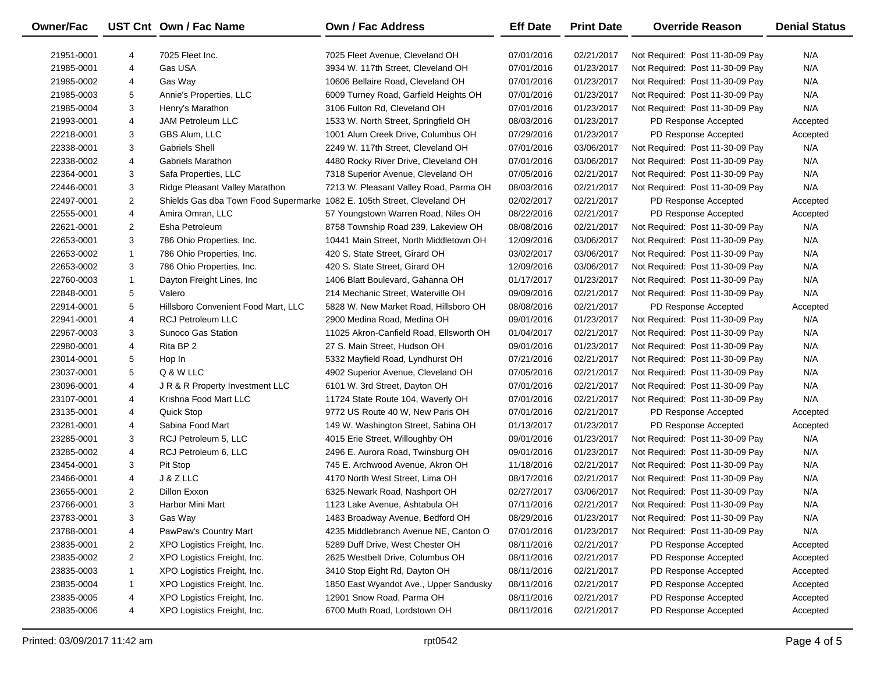| Owner/Fac  |                | UST Cnt Own / Fac Name                                                  | <b>Own / Fac Address</b>                | <b>Eff Date</b> | <b>Print Date</b> | <b>Override Reason</b>          | <b>Denial Status</b> |
|------------|----------------|-------------------------------------------------------------------------|-----------------------------------------|-----------------|-------------------|---------------------------------|----------------------|
| 21951-0001 | 4              | 7025 Fleet Inc.                                                         | 7025 Fleet Avenue, Cleveland OH         | 07/01/2016      | 02/21/2017        | Not Required: Post 11-30-09 Pay | N/A                  |
| 21985-0001 | 4              | Gas USA                                                                 | 3934 W. 117th Street, Cleveland OH      | 07/01/2016      | 01/23/2017        | Not Required: Post 11-30-09 Pay | N/A                  |
| 21985-0002 | 4              | Gas Way                                                                 | 10606 Bellaire Road, Cleveland OH       | 07/01/2016      | 01/23/2017        | Not Required: Post 11-30-09 Pay | N/A                  |
| 21985-0003 | 5              | Annie's Properties, LLC                                                 | 6009 Turney Road, Garfield Heights OH   | 07/01/2016      | 01/23/2017        | Not Required: Post 11-30-09 Pay | N/A                  |
| 21985-0004 | 3              | Henry's Marathon                                                        | 3106 Fulton Rd, Cleveland OH            | 07/01/2016      | 01/23/2017        | Not Required: Post 11-30-09 Pay | N/A                  |
| 21993-0001 | 4              | <b>JAM Petroleum LLC</b>                                                | 1533 W. North Street, Springfield OH    | 08/03/2016      | 01/23/2017        | PD Response Accepted            | Accepted             |
| 22218-0001 | 3              | GBS Alum, LLC                                                           | 1001 Alum Creek Drive, Columbus OH      | 07/29/2016      | 01/23/2017        | PD Response Accepted            | Accepted             |
| 22338-0001 | 3              | <b>Gabriels Shell</b>                                                   | 2249 W. 117th Street, Cleveland OH      | 07/01/2016      | 03/06/2017        | Not Required: Post 11-30-09 Pay | N/A                  |
| 22338-0002 | 4              | Gabriels Marathon                                                       | 4480 Rocky River Drive, Cleveland OH    | 07/01/2016      | 03/06/2017        | Not Required: Post 11-30-09 Pay | N/A                  |
| 22364-0001 | 3              | Safa Properties, LLC                                                    | 7318 Superior Avenue, Cleveland OH      | 07/05/2016      | 02/21/2017        | Not Required: Post 11-30-09 Pay | N/A                  |
| 22446-0001 | 3              | Ridge Pleasant Valley Marathon                                          | 7213 W. Pleasant Valley Road, Parma OH  | 08/03/2016      | 02/21/2017        | Not Required: Post 11-30-09 Pay | N/A                  |
| 22497-0001 | $\overline{2}$ | Shields Gas dba Town Food Supermarke 1082 E. 105th Street, Cleveland OH |                                         | 02/02/2017      | 02/21/2017        | PD Response Accepted            | Accepted             |
| 22555-0001 | 4              | Amira Omran, LLC                                                        | 57 Youngstown Warren Road, Niles OH     | 08/22/2016      | 02/21/2017        | PD Response Accepted            | Accepted             |
| 22621-0001 | $\overline{2}$ | Esha Petroleum                                                          | 8758 Township Road 239, Lakeview OH     | 08/08/2016      | 02/21/2017        | Not Required: Post 11-30-09 Pay | N/A                  |
| 22653-0001 | 3              | 786 Ohio Properties, Inc.                                               | 10441 Main Street, North Middletown OH  | 12/09/2016      | 03/06/2017        | Not Required: Post 11-30-09 Pay | N/A                  |
| 22653-0002 | $\mathbf{1}$   | 786 Ohio Properties, Inc.                                               | 420 S. State Street, Girard OH          | 03/02/2017      | 03/06/2017        | Not Required: Post 11-30-09 Pay | N/A                  |
| 22653-0002 | 3              | 786 Ohio Properties, Inc.                                               | 420 S. State Street, Girard OH          | 12/09/2016      | 03/06/2017        | Not Required: Post 11-30-09 Pay | N/A                  |
| 22760-0003 | 1              | Dayton Freight Lines, Inc                                               | 1406 Blatt Boulevard, Gahanna OH        | 01/17/2017      | 01/23/2017        | Not Required: Post 11-30-09 Pay | N/A                  |
| 22848-0001 | 5              | Valero                                                                  | 214 Mechanic Street, Waterville OH      | 09/09/2016      | 02/21/2017        | Not Required: Post 11-30-09 Pay | N/A                  |
| 22914-0001 | 5              | Hillsboro Convenient Food Mart, LLC                                     | 5828 W. New Market Road, Hillsboro OH   | 08/08/2016      | 02/21/2017        | PD Response Accepted            | Accepted             |
| 22941-0001 | 4              | <b>RCJ Petroleum LLC</b>                                                | 2900 Medina Road, Medina OH             | 09/01/2016      | 01/23/2017        | Not Required: Post 11-30-09 Pay | N/A                  |
| 22967-0003 | 3              | Sunoco Gas Station                                                      | 11025 Akron-Canfield Road, Ellsworth OH | 01/04/2017      | 02/21/2017        | Not Required: Post 11-30-09 Pay | N/A                  |
| 22980-0001 | 4              | Rita BP 2                                                               | 27 S. Main Street, Hudson OH            | 09/01/2016      | 01/23/2017        | Not Required: Post 11-30-09 Pay | N/A                  |
| 23014-0001 | 5              | Hop In                                                                  | 5332 Mayfield Road, Lyndhurst OH        | 07/21/2016      | 02/21/2017        | Not Required: Post 11-30-09 Pay | N/A                  |
| 23037-0001 | 5              | Q & W LLC                                                               | 4902 Superior Avenue, Cleveland OH      | 07/05/2016      | 02/21/2017        | Not Required: Post 11-30-09 Pay | N/A                  |
| 23096-0001 | 4              | J R & R Property Investment LLC                                         | 6101 W. 3rd Street, Dayton OH           | 07/01/2016      | 02/21/2017        | Not Required: Post 11-30-09 Pay | N/A                  |
| 23107-0001 | 4              | Krishna Food Mart LLC                                                   | 11724 State Route 104, Waverly OH       | 07/01/2016      | 02/21/2017        | Not Required: Post 11-30-09 Pay | N/A                  |
| 23135-0001 | 4              | Quick Stop                                                              | 9772 US Route 40 W, New Paris OH        | 07/01/2016      | 02/21/2017        | PD Response Accepted            | Accepted             |
| 23281-0001 | 4              | Sabina Food Mart                                                        | 149 W. Washington Street, Sabina OH     | 01/13/2017      | 01/23/2017        | PD Response Accepted            | Accepted             |
| 23285-0001 | 3              | RCJ Petroleum 5, LLC                                                    | 4015 Erie Street, Willoughby OH         | 09/01/2016      | 01/23/2017        | Not Required: Post 11-30-09 Pay | N/A                  |
| 23285-0002 | 4              | RCJ Petroleum 6, LLC                                                    | 2496 E. Aurora Road, Twinsburg OH       | 09/01/2016      | 01/23/2017        | Not Required: Post 11-30-09 Pay | N/A                  |
| 23454-0001 | 3              | Pit Stop                                                                | 745 E. Archwood Avenue, Akron OH        | 11/18/2016      | 02/21/2017        | Not Required: Post 11-30-09 Pay | N/A                  |
| 23466-0001 | 4              | J & Z LLC                                                               | 4170 North West Street, Lima OH         | 08/17/2016      | 02/21/2017        | Not Required: Post 11-30-09 Pay | N/A                  |
| 23655-0001 | $\overline{2}$ | Dillon Exxon                                                            | 6325 Newark Road, Nashport OH           | 02/27/2017      | 03/06/2017        | Not Required: Post 11-30-09 Pay | N/A                  |
| 23766-0001 | 3              | Harbor Mini Mart                                                        | 1123 Lake Avenue, Ashtabula OH          | 07/11/2016      | 02/21/2017        | Not Required: Post 11-30-09 Pay | N/A                  |
| 23783-0001 | 3              | Gas Way                                                                 | 1483 Broadway Avenue, Bedford OH        | 08/29/2016      | 01/23/2017        | Not Required: Post 11-30-09 Pay | N/A                  |
| 23788-0001 | 4              | PawPaw's Country Mart                                                   | 4235 Middlebranch Avenue NE, Canton O   | 07/01/2016      | 01/23/2017        | Not Required: Post 11-30-09 Pay | N/A                  |
| 23835-0001 | 2              | XPO Logistics Freight, Inc.                                             | 5289 Duff Drive, West Chester OH        | 08/11/2016      | 02/21/2017        | PD Response Accepted            | Accepted             |
| 23835-0002 | 2              | XPO Logistics Freight, Inc.                                             | 2625 Westbelt Drive, Columbus OH        | 08/11/2016      | 02/21/2017        | PD Response Accepted            | Accepted             |
| 23835-0003 | 1              | XPO Logistics Freight, Inc.                                             | 3410 Stop Eight Rd, Dayton OH           | 08/11/2016      | 02/21/2017        | PD Response Accepted            | Accepted             |
| 23835-0004 | -1             | XPO Logistics Freight, Inc.                                             | 1850 East Wyandot Ave., Upper Sandusky  | 08/11/2016      | 02/21/2017        | PD Response Accepted            | Accepted             |
| 23835-0005 | 4              | XPO Logistics Freight, Inc.                                             | 12901 Snow Road, Parma OH               | 08/11/2016      | 02/21/2017        | PD Response Accepted            | Accepted             |
| 23835-0006 | 4              | XPO Logistics Freight, Inc.                                             | 6700 Muth Road, Lordstown OH            | 08/11/2016      | 02/21/2017        | PD Response Accepted            | Accepted             |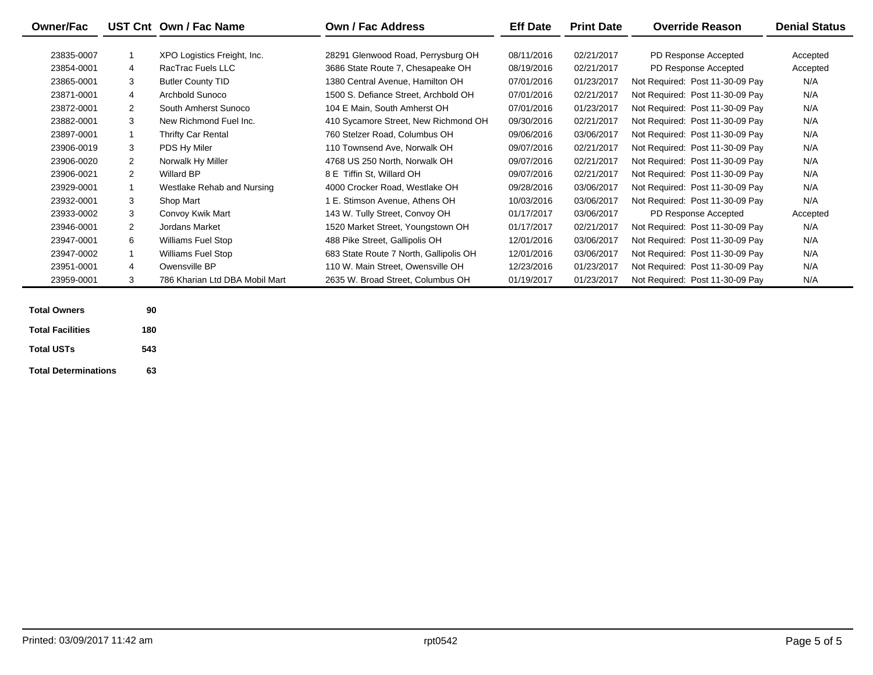| <b>Owner/Fac</b>        |                | UST Cnt Own / Fac Name         | <b>Own / Fac Address</b>               | <b>Eff Date</b> | <b>Print Date</b> | <b>Override Reason</b>          | <b>Denial Status</b> |
|-------------------------|----------------|--------------------------------|----------------------------------------|-----------------|-------------------|---------------------------------|----------------------|
|                         |                |                                |                                        |                 |                   |                                 |                      |
| 23835-0007              | $\mathbf{1}$   | XPO Logistics Freight, Inc.    | 28291 Glenwood Road, Perrysburg OH     | 08/11/2016      | 02/21/2017        | PD Response Accepted            | Accepted             |
| 23854-0001              | 4              | RacTrac Fuels LLC              | 3686 State Route 7, Chesapeake OH      | 08/19/2016      | 02/21/2017        | PD Response Accepted            | Accepted             |
| 23865-0001              | 3              | <b>Butler County TID</b>       | 1380 Central Avenue, Hamilton OH       | 07/01/2016      | 01/23/2017        | Not Required: Post 11-30-09 Pay | N/A                  |
| 23871-0001              | 4              | Archbold Sunoco                | 1500 S. Defiance Street, Archbold OH   | 07/01/2016      | 02/21/2017        | Not Required: Post 11-30-09 Pay | N/A                  |
| 23872-0001              | 2              | South Amherst Sunoco           | 104 E Main, South Amherst OH           | 07/01/2016      | 01/23/2017        | Not Required: Post 11-30-09 Pay | N/A                  |
| 23882-0001              | 3              | New Richmond Fuel Inc.         | 410 Sycamore Street, New Richmond OH   | 09/30/2016      | 02/21/2017        | Not Required: Post 11-30-09 Pay | N/A                  |
| 23897-0001              | $\mathbf{1}$   | <b>Thrifty Car Rental</b>      | 760 Stelzer Road, Columbus OH          | 09/06/2016      | 03/06/2017        | Not Required: Post 11-30-09 Pay | N/A                  |
| 23906-0019              | 3              | PDS Hy Miler                   | 110 Townsend Ave. Norwalk OH           | 09/07/2016      | 02/21/2017        | Not Required: Post 11-30-09 Pay | N/A                  |
| 23906-0020              | 2              | Norwalk Hy Miller              | 4768 US 250 North, Norwalk OH          | 09/07/2016      | 02/21/2017        | Not Required: Post 11-30-09 Pay | N/A                  |
| 23906-0021              | 2              | <b>Willard BP</b>              | 8 E Tiffin St. Willard OH              | 09/07/2016      | 02/21/2017        | Not Required: Post 11-30-09 Pay | N/A                  |
| 23929-0001              | $\mathbf{1}$   | Westlake Rehab and Nursing     | 4000 Crocker Road, Westlake OH         | 09/28/2016      | 03/06/2017        | Not Required: Post 11-30-09 Pay | N/A                  |
| 23932-0001              | 3              | Shop Mart                      | 1 E. Stimson Avenue, Athens OH         | 10/03/2016      | 03/06/2017        | Not Required: Post 11-30-09 Pay | N/A                  |
| 23933-0002              | 3              | Convoy Kwik Mart               | 143 W. Tully Street, Convoy OH         | 01/17/2017      | 03/06/2017        | PD Response Accepted            | Accepted             |
| 23946-0001              | $\overline{2}$ | <b>Jordans Market</b>          | 1520 Market Street, Youngstown OH      | 01/17/2017      | 02/21/2017        | Not Required: Post 11-30-09 Pay | N/A                  |
| 23947-0001              | 6              | <b>Williams Fuel Stop</b>      | 488 Pike Street, Gallipolis OH         | 12/01/2016      | 03/06/2017        | Not Required: Post 11-30-09 Pay | N/A                  |
| 23947-0002              | $\mathbf{1}$   | <b>Williams Fuel Stop</b>      | 683 State Route 7 North, Gallipolis OH | 12/01/2016      | 03/06/2017        | Not Required: Post 11-30-09 Pay | N/A                  |
| 23951-0001              | 4              | Owensville BP                  | 110 W. Main Street, Owensville OH      | 12/23/2016      | 01/23/2017        | Not Required: Post 11-30-09 Pay | N/A                  |
| 23959-0001              | 3              | 786 Kharian Ltd DBA Mobil Mart | 2635 W. Broad Street, Columbus OH      | 01/19/2017      | 01/23/2017        | Not Required: Post 11-30-09 Pay | N/A                  |
|                         |                |                                |                                        |                 |                   |                                 |                      |
| <b>Total Owners</b>     | 90             |                                |                                        |                 |                   |                                 |                      |
| <b>Total Facilities</b> | 180            |                                |                                        |                 |                   |                                 |                      |

**Total USTs**

**Total Determinations63**

**543**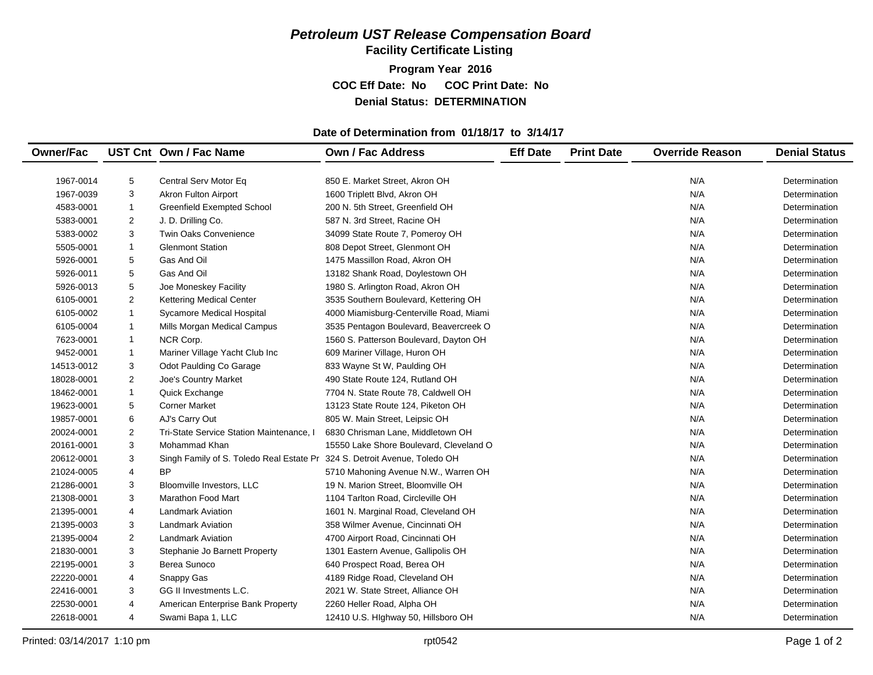## *Petroleum UST Release Compensation Board*

**Facility Certificate Listing**

**Program Year 2016 COC Eff Date: No COC Print Date: No Denial Status: DETERMINATION**

#### **Date of Determination from 01/18/17 to 3/14/17**

| <b>Owner/Fac</b><br><b>Print Date</b><br>UST Cnt Own / Fac Name<br><b>Own / Fac Address</b><br><b>Eff Date</b><br><b>Override Reason</b> | <b>Denial Status</b> |
|------------------------------------------------------------------------------------------------------------------------------------------|----------------------|
|                                                                                                                                          |                      |
| 5<br>N/A<br>1967-0014<br>Central Serv Motor Eq<br>850 E. Market Street, Akron OH                                                         | Determination        |
| 3<br>Akron Fulton Airport<br>N/A<br>1967-0039<br>1600 Triplett Blvd, Akron OH                                                            | Determination        |
| <b>Greenfield Exempted School</b><br>N/A<br>4583-0001<br>$\mathbf{1}$<br>200 N. 5th Street, Greenfield OH                                | Determination        |
| 2<br>N/A<br>5383-0001<br>J. D. Drilling Co.<br>587 N. 3rd Street, Racine OH                                                              | Determination        |
| 3<br>N/A<br>5383-0002<br><b>Twin Oaks Convenience</b><br>34099 State Route 7, Pomeroy OH                                                 | Determination        |
| <b>Glenmont Station</b><br>N/A<br>5505-0001<br>$\mathbf{1}$<br>808 Depot Street, Glenmont OH                                             | Determination        |
| 5<br>Gas And Oil<br>N/A<br>5926-0001<br>1475 Massillon Road, Akron OH                                                                    | Determination        |
| 5<br>Gas And Oil<br>N/A<br>5926-0011<br>13182 Shank Road, Doylestown OH                                                                  | Determination        |
| 5<br>5926-0013<br>1980 S. Arlington Road, Akron OH<br>N/A<br>Joe Moneskey Facility                                                       | Determination        |
| 2<br><b>Kettering Medical Center</b><br>3535 Southern Boulevard, Kettering OH<br>N/A<br>6105-0001                                        | Determination        |
| N/A<br>$\mathbf{1}$<br>Sycamore Medical Hospital<br>4000 Miamisburg-Centerville Road, Miami<br>6105-0002                                 | Determination        |
| N/A<br>6105-0004<br>$\mathbf{1}$<br>Mills Morgan Medical Campus<br>3535 Pentagon Boulevard, Beavercreek O                                | Determination        |
| NCR Corp.<br>N/A<br>7623-0001<br>$\mathbf{1}$<br>1560 S. Patterson Boulevard, Dayton OH                                                  | Determination        |
| $\mathbf{1}$<br>Mariner Village Yacht Club Inc<br>609 Mariner Village, Huron OH<br>N/A<br>9452-0001                                      | Determination        |
| 3<br>N/A<br>833 Wayne St W, Paulding OH<br>14513-0012<br>Odot Paulding Co Garage                                                         | Determination        |
| $\overline{c}$<br>N/A<br>490 State Route 124, Rutland OH<br>18028-0001<br>Joe's Country Market                                           | Determination        |
| 18462-0001<br>$\mathbf{1}$<br>Quick Exchange<br>7704 N. State Route 78, Caldwell OH<br>N/A                                               | Determination        |
| N/A<br>19623-0001<br>5<br><b>Corner Market</b><br>13123 State Route 124, Piketon OH                                                      | Determination        |
| 6<br>N/A<br>19857-0001<br>AJ's Carry Out<br>805 W. Main Street, Leipsic OH                                                               | Determination        |
| 2<br>N/A<br>20024-0001<br>Tri-State Service Station Maintenance, I<br>6830 Chrisman Lane, Middletown OH                                  | Determination        |
| 3<br>Mohammad Khan<br>N/A<br>20161-0001<br>15550 Lake Shore Boulevard, Cleveland O                                                       | Determination        |
| 3<br>Singh Family of S. Toledo Real Estate Pr 324 S. Detroit Avenue, Toledo OH<br>N/A<br>20612-0001                                      | Determination        |
| N/A<br>4<br>ΒP<br>21024-0005<br>5710 Mahoning Avenue N.W., Warren OH                                                                     | Determination        |
| 3<br>N/A<br>21286-0001<br>Bloomville Investors, LLC<br>19 N. Marion Street, Bloomville OH                                                | Determination        |
| 3<br>N/A<br>21308-0001<br><b>Marathon Food Mart</b><br>1104 Tarlton Road, Circleville OH                                                 | Determination        |
| N/A<br>21395-0001<br>4<br><b>Landmark Aviation</b><br>1601 N. Marginal Road, Cleveland OH                                                | Determination        |
| 3<br>N/A<br>21395-0003<br><b>Landmark Aviation</b><br>358 Wilmer Avenue, Cincinnati OH                                                   | Determination        |
| $\overline{2}$<br>4700 Airport Road, Cincinnati OH<br>N/A<br>21395-0004<br><b>Landmark Aviation</b>                                      | Determination        |
| 3<br>Stephanie Jo Barnett Property<br>N/A<br>21830-0001<br>1301 Eastern Avenue, Gallipolis OH                                            | Determination        |
| 3<br>Berea Sunoco<br>640 Prospect Road, Berea OH<br>N/A<br>22195-0001                                                                    | Determination        |
| 4<br>N/A<br>22220-0001<br>Snappy Gas<br>4189 Ridge Road, Cleveland OH                                                                    | Determination        |
| N/A<br>22416-0001<br>3<br>GG II Investments L.C.<br>2021 W. State Street, Alliance OH                                                    | Determination        |
| N/A<br>22530-0001<br>4<br>American Enterprise Bank Property<br>2260 Heller Road, Alpha OH                                                | Determination        |
| N/A<br>22618-0001<br>4<br>Swami Bapa 1, LLC<br>12410 U.S. Hlghway 50, Hillsboro OH                                                       | Determination        |